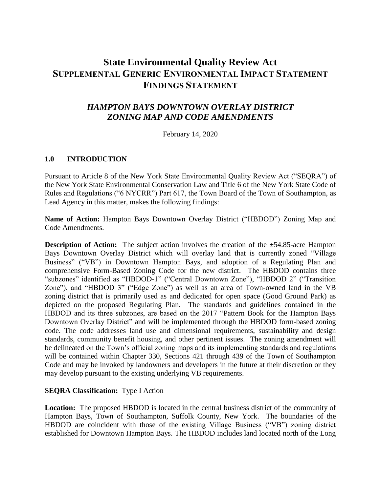# **State Environmental Quality Review Act SUPPLEMENTAL GENERIC ENVIRONMENTAL IMPACT STATEMENT FINDINGS STATEMENT**

# *HAMPTON BAYS DOWNTOWN OVERLAY DISTRICT ZONING MAP AND CODE AMENDMENTS*

February 14, 2020

# **1.0 INTRODUCTION**

Pursuant to Article 8 of the New York State Environmental Quality Review Act ("SEQRA") of the New York State Environmental Conservation Law and Title 6 of the New York State Code of Rules and Regulations ("6 NYCRR") Part 617, the Town Board of the Town of Southampton, as Lead Agency in this matter, makes the following findings:

**Name of Action:** Hampton Bays Downtown Overlay District ("HBDOD") Zoning Map and Code Amendments.

**Description of Action:** The subject action involves the creation of the  $\pm$ 54.85-acre Hampton Bays Downtown Overlay District which will overlay land that is currently zoned "Village Business" ("VB") in Downtown Hampton Bays, and adoption of a Regulating Plan and comprehensive Form-Based Zoning Code for the new district. The HBDOD contains three "subzones" identified as "HBDOD-1" ("Central Downtown Zone"), "HBDOD 2" ("Transition Zone"), and "HBDOD 3" ("Edge Zone") as well as an area of Town-owned land in the VB zoning district that is primarily used as and dedicated for open space (Good Ground Park) as depicted on the proposed Regulating Plan. The standards and guidelines contained in the HBDOD and its three subzones, are based on the 2017 "Pattern Book for the Hampton Bays Downtown Overlay District" and will be implemented through the HBDOD form-based zoning code. The code addresses land use and dimensional requirements, sustainability and design standards, community benefit housing, and other pertinent issues. The zoning amendment will be delineated on the Town's official zoning maps and its implementing standards and regulations will be contained within Chapter 330, Sections 421 through 439 of the Town of Southampton Code and may be invoked by landowners and developers in the future at their discretion or they may develop pursuant to the existing underlying VB requirements.

# **SEQRA Classification:** Type I Action

**Location:** The proposed HBDOD is located in the central business district of the community of Hampton Bays, Town of Southampton, Suffolk County, New York. The boundaries of the HBDOD are coincident with those of the existing Village Business ("VB") zoning district established for Downtown Hampton Bays. The HBDOD includes land located north of the Long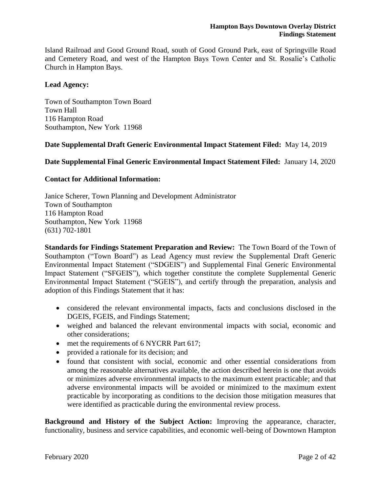Island Railroad and Good Ground Road, south of Good Ground Park, east of Springville Road and Cemetery Road, and west of the Hampton Bays Town Center and St. Rosalie's Catholic Church in Hampton Bays.

#### **Lead Agency:**

Town of Southampton Town Board Town Hall 116 Hampton Road Southampton, New York 11968

#### **Date Supplemental Draft Generic Environmental Impact Statement Filed:** May 14, 2019

**Date Supplemental Final Generic Environmental Impact Statement Filed:** January 14, 2020

#### **Contact for Additional Information:**

Janice Scherer, Town Planning and Development Administrator Town of Southampton 116 Hampton Road Southampton, New York 11968 (631) 702-1801

**Standards for Findings Statement Preparation and Review:** The Town Board of the Town of Southampton ("Town Board") as Lead Agency must review the Supplemental Draft Generic Environmental Impact Statement ("SDGEIS") and Supplemental Final Generic Environmental Impact Statement ("SFGEIS"), which together constitute the complete Supplemental Generic Environmental Impact Statement ("SGEIS"), and certify through the preparation, analysis and adoption of this Findings Statement that it has:

- considered the relevant environmental impacts, facts and conclusions disclosed in the DGEIS, FGEIS, and Findings Statement;
- weighed and balanced the relevant environmental impacts with social, economic and other considerations;
- met the requirements of 6 NYCRR Part 617;
- provided a rationale for its decision; and
- found that consistent with social, economic and other essential considerations from among the reasonable alternatives available, the action described herein is one that avoids or minimizes adverse environmental impacts to the maximum extent practicable; and that adverse environmental impacts will be avoided or minimized to the maximum extent practicable by incorporating as conditions to the decision those mitigation measures that were identified as practicable during the environmental review process.

**Background and History of the Subject Action:** Improving the appearance, character, functionality, business and service capabilities, and economic well-being of Downtown Hampton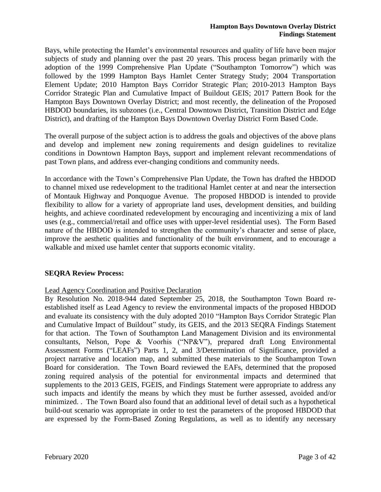Bays, while protecting the Hamlet's environmental resources and quality of life have been major subjects of study and planning over the past 20 years. This process began primarily with the adoption of the 1999 Comprehensive Plan Update ("Southampton Tomorrow") which was followed by the 1999 Hampton Bays Hamlet Center Strategy Study; 2004 Transportation Element Update; 2010 Hampton Bays Corridor Strategic Plan; 2010-2013 Hampton Bays Corridor Strategic Plan and Cumulative Impact of Buildout GEIS; 2017 Pattern Book for the Hampton Bays Downtown Overlay District; and most recently, the delineation of the Proposed HBDOD boundaries, its subzones (i.e., Central Downtown District, Transition District and Edge District), and drafting of the Hampton Bays Downtown Overlay District Form Based Code.

The overall purpose of the subject action is to address the goals and objectives of the above plans and develop and implement new zoning requirements and design guidelines to revitalize conditions in Downtown Hampton Bays, support and implement relevant recommendations of past Town plans, and address ever-changing conditions and community needs.

In accordance with the Town's Comprehensive Plan Update, the Town has drafted the HBDOD to channel mixed use redevelopment to the traditional Hamlet center at and near the intersection of Montauk Highway and Ponquogue Avenue. The proposed HBDOD is intended to provide flexibility to allow for a variety of appropriate land uses, development densities, and building heights, and achieve coordinated redevelopment by encouraging and incentivizing a mix of land uses (e.g., commercial/retail and office uses with upper-level residential uses). The Form Based nature of the HBDOD is intended to strengthen the community's character and sense of place, improve the aesthetic qualities and functionality of the built environment, and to encourage a walkable and mixed use hamlet center that supports economic vitality.

# **SEQRA Review Process:**

# Lead Agency Coordination and Positive Declaration

By Resolution No. 2018-944 dated September 25, 2018, the Southampton Town Board reestablished itself as Lead Agency to review the environmental impacts of the proposed HBDOD and evaluate its consistency with the duly adopted 2010 "Hampton Bays Corridor Strategic Plan and Cumulative Impact of Buildout" study, its GEIS, and the 2013 SEQRA Findings Statement for that action. The Town of Southampton Land Management Division and its environmental consultants, Nelson, Pope & Voorhis ("NP&V"), prepared draft Long Environmental Assessment Forms ("LEAFs") Parts 1, 2, and 3/Determination of Significance, provided a project narrative and location map, and submitted these materials to the Southampton Town Board for consideration. The Town Board reviewed the EAFs, determined that the proposed zoning required analysis of the potential for environmental impacts and determined that supplements to the 2013 GEIS, FGEIS, and Findings Statement were appropriate to address any such impacts and identify the means by which they must be further assessed, avoided and/or minimized. . The Town Board also found that an additional level of detail such as a hypothetical build-out scenario was appropriate in order to test the parameters of the proposed HBDOD that are expressed by the Form-Based Zoning Regulations, as well as to identify any necessary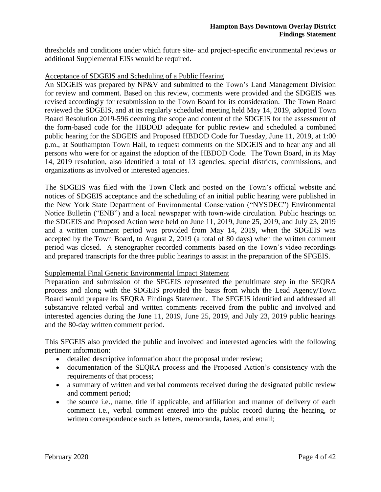thresholds and conditions under which future site- and project-specific environmental reviews or additional Supplemental EISs would be required.

#### Acceptance of SDGEIS and Scheduling of a Public Hearing

An SDGEIS was prepared by NP&V and submitted to the Town's Land Management Division for review and comment. Based on this review, comments were provided and the SDGEIS was revised accordingly for resubmission to the Town Board for its consideration. The Town Board reviewed the SDGEIS, and at its regularly scheduled meeting held May 14, 2019, adopted Town Board Resolution 2019-596 deeming the scope and content of the SDGEIS for the assessment of the form-based code for the HBDOD adequate for public review and scheduled a combined public hearing for the SDGEIS and Proposed HBDOD Code for Tuesday, June 11, 2019, at 1:00 p.m., at Southampton Town Hall, to request comments on the SDGEIS and to hear any and all persons who were for or against the adoption of the HBDOD Code. The Town Board, in its May 14, 2019 resolution, also identified a total of 13 agencies, special districts, commissions, and organizations as involved or interested agencies.

The SDGEIS was filed with the Town Clerk and posted on the Town's official website and notices of SDGEIS acceptance and the scheduling of an initial public hearing were published in the New York State Department of Environmental Conservation ("NYSDEC") Environmental Notice Bulletin ("ENB") and a local newspaper with town-wide circulation. Public hearings on the SDGEIS and Proposed Action were held on June 11, 2019, June 25, 2019, and July 23, 2019 and a written comment period was provided from May 14, 2019, when the SDGEIS was accepted by the Town Board, to August 2, 2019 (a total of 80 days) when the written comment period was closed. A stenographer recorded comments based on the Town's video recordings and prepared transcripts for the three public hearings to assist in the preparation of the SFGEIS.

#### Supplemental Final Generic Environmental Impact Statement

Preparation and submission of the SFGEIS represented the penultimate step in the SEQRA process and along with the SDGEIS provided the basis from which the Lead Agency/Town Board would prepare its SEQRA Findings Statement. The SFGEIS identified and addressed all substantive related verbal and written comments received from the public and involved and interested agencies during the June 11, 2019, June 25, 2019, and July 23, 2019 public hearings and the 80-day written comment period.

This SFGEIS also provided the public and involved and interested agencies with the following pertinent information:

- detailed descriptive information about the proposal under review;
- documentation of the SEQRA process and the Proposed Action's consistency with the requirements of that process;
- a summary of written and verbal comments received during the designated public review and comment period;
- the source i.e., name, title if applicable, and affiliation and manner of delivery of each comment i.e., verbal comment entered into the public record during the hearing, or written correspondence such as letters, memoranda, faxes, and email;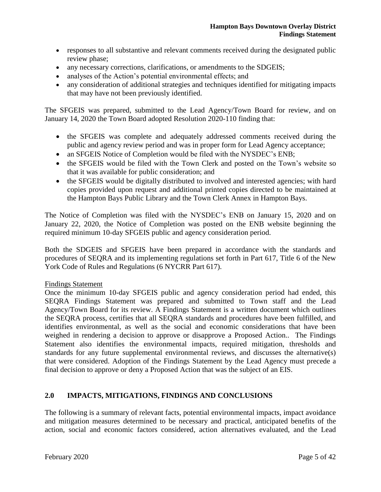- responses to all substantive and relevant comments received during the designated public review phase;
- any necessary corrections, clarifications, or amendments to the SDGEIS;
- analyses of the Action's potential environmental effects; and
- any consideration of additional strategies and techniques identified for mitigating impacts that may have not been previously identified.

The SFGEIS was prepared, submitted to the Lead Agency/Town Board for review, and on January 14, 2020 the Town Board adopted Resolution 2020-110 finding that:

- the SFGEIS was complete and adequately addressed comments received during the public and agency review period and was in proper form for Lead Agency acceptance;
- an SFGEIS Notice of Completion would be filed with the NYSDEC's ENB;
- the SFGEIS would be filed with the Town Clerk and posted on the Town's website so that it was available for public consideration; and
- the SFGEIS would be digitally distributed to involved and interested agencies; with hard copies provided upon request and additional printed copies directed to be maintained at the Hampton Bays Public Library and the Town Clerk Annex in Hampton Bays.

The Notice of Completion was filed with the NYSDEC's ENB on January 15, 2020 and on January 22, 2020, the Notice of Completion was posted on the ENB website beginning the required minimum 10-day SFGEIS public and agency consideration period.

Both the SDGEIS and SFGEIS have been prepared in accordance with the standards and procedures of SEQRA and its implementing regulations set forth in Part 617, Title 6 of the New York Code of Rules and Regulations (6 NYCRR Part 617).

# Findings Statement

Once the minimum 10-day SFGEIS public and agency consideration period had ended, this SEQRA Findings Statement was prepared and submitted to Town staff and the Lead Agency/Town Board for its review. A Findings Statement is a written document which outlines the SEQRA process, certifies that all SEQRA standards and procedures have been fulfilled, and identifies environmental, as well as the social and economic considerations that have been weighed in rendering a decision to approve or disapprove a Proposed Action.. The Findings Statement also identifies the environmental impacts, required mitigation, thresholds and standards for any future supplemental environmental reviews, and discusses the alternative(s) that were considered. Adoption of the Findings Statement by the Lead Agency must precede a final decision to approve or deny a Proposed Action that was the subject of an EIS.

# **2.0 IMPACTS, MITIGATIONS, FINDINGS AND CONCLUSIONS**

The following is a summary of relevant facts, potential environmental impacts, impact avoidance and mitigation measures determined to be necessary and practical, anticipated benefits of the action, social and economic factors considered, action alternatives evaluated, and the Lead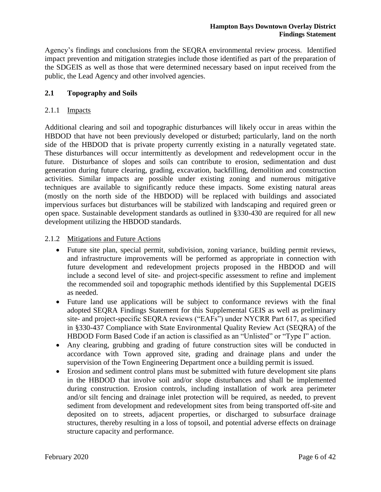Agency's findings and conclusions from the SEQRA environmental review process. Identified impact prevention and mitigation strategies include those identified as part of the preparation of the SDGEIS as well as those that were determined necessary based on input received from the public, the Lead Agency and other involved agencies.

# **2.1 Topography and Soils**

#### 2.1.1 Impacts

Additional clearing and soil and topographic disturbances will likely occur in areas within the HBDOD that have not been previously developed or disturbed; particularly, land on the north side of the HBDOD that is private property currently existing in a naturally vegetated state. These disturbances will occur intermittently as development and redevelopment occur in the future. Disturbance of slopes and soils can contribute to erosion, sedimentation and dust generation during future clearing, grading, excavation, backfilling, demolition and construction activities. Similar impacts are possible under existing zoning and numerous mitigative techniques are available to significantly reduce these impacts. Some existing natural areas (mostly on the north side of the HBDOD) will be replaced with buildings and associated impervious surfaces but disturbances will be stabilized with landscaping and required green or open space. Sustainable development standards as outlined in §330-430 are required for all new development utilizing the HBDOD standards.

# 2.1.2 Mitigations and Future Actions

- Future site plan, special permit, subdivision, zoning variance, building permit reviews, and infrastructure improvements will be performed as appropriate in connection with future development and redevelopment projects proposed in the HBDOD and will include a second level of site- and project-specific assessment to refine and implement the recommended soil and topographic methods identified by this Supplemental DGEIS as needed.
- Future land use applications will be subject to conformance reviews with the final adopted SEQRA Findings Statement for this Supplemental GEIS as well as preliminary site- and project-specific SEQRA reviews ("EAFs") under NYCRR Part 617, as specified in §330-437 Compliance with State Environmental Quality Review Act (SEQRA) of the HBDOD Form Based Code if an action is classified as an "Unlisted" or "Type I" action.
- Any clearing, grubbing and grading of future construction sites will be conducted in accordance with Town approved site, grading and drainage plans and under the supervision of the Town Engineering Department once a building permit is issued.
- Erosion and sediment control plans must be submitted with future development site plans in the HBDOD that involve soil and/or slope disturbances and shall be implemented during construction. Erosion controls, including installation of work area perimeter and/or silt fencing and drainage inlet protection will be required, as needed, to prevent sediment from development and redevelopment sites from being transported off-site and deposited on to streets, adjacent properties, or discharged to subsurface drainage structures, thereby resulting in a loss of topsoil, and potential adverse effects on drainage structure capacity and performance.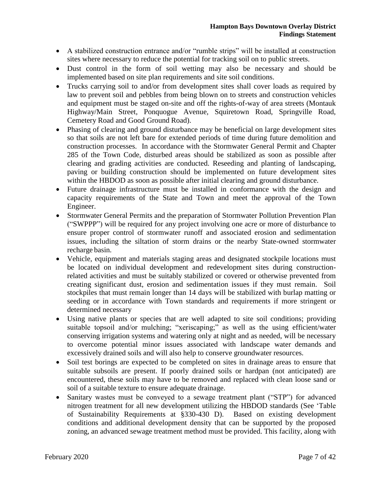- A stabilized construction entrance and/or "rumble strips" will be installed at construction sites where necessary to reduce the potential for tracking soil on to public streets.
- Dust control in the form of soil wetting may also be necessary and should be implemented based on site plan requirements and site soil conditions.
- Trucks carrying soil to and/or from development sites shall cover loads as required by law to prevent soil and pebbles from being blown on to streets and construction vehicles and equipment must be staged on-site and off the rights-of-way of area streets (Montauk Highway/Main Street, Ponquogue Avenue, Squiretown Road, Springville Road, Cemetery Road and Good Ground Road).
- Phasing of clearing and ground disturbance may be beneficial on large development sites so that soils are not left bare for extended periods of time during future demolition and construction processes. In accordance with the Stormwater General Permit and Chapter 285 of the Town Code, disturbed areas should be stabilized as soon as possible after clearing and grading activities are conducted. Reseeding and planting of landscaping, paving or building construction should be implemented on future development sites within the HBDOD as soon as possible after initial clearing and ground disturbance.
- Future drainage infrastructure must be installed in conformance with the design and capacity requirements of the State and Town and meet the approval of the Town Engineer.
- Stormwater General Permits and the preparation of Stormwater Pollution Prevention Plan ("SWPPP") will be required for any project involving one acre or more of disturbance to ensure proper control of stormwater runoff and associated erosion and sedimentation issues, including the siltation of storm drains or the nearby State-owned stormwater recharge basin.
- Vehicle, equipment and materials staging areas and designated stockpile locations must be located on individual development and redevelopment sites during constructionrelated activities and must be suitably stabilized or covered or otherwise prevented from creating significant dust, erosion and sedimentation issues if they must remain. Soil stockpiles that must remain longer than 14 days will be stabilized with burlap matting or seeding or in accordance with Town standards and requirements if more stringent or determined necessary
- Using native plants or species that are well adapted to site soil conditions; providing suitable topsoil and/or mulching; "xeriscaping;" as well as the using efficient/water conserving irrigation systems and watering only at night and as needed, will be necessary to overcome potential minor issues associated with landscape water demands and excessively drained soils and will also help to conserve groundwater resources.
- Soil test borings are expected to be completed on sites in drainage areas to ensure that suitable subsoils are present. If poorly drained soils or hardpan (not anticipated) are encountered, these soils may have to be removed and replaced with clean loose sand or soil of a suitable texture to ensure adequate drainage.
- Sanitary wastes must be conveyed to a sewage treatment plant ("STP") for advanced nitrogen treatment for all new development utilizing the HBDOD standards (See 'Table of Sustainability Requirements at §330-430 D). Based on existing development conditions and additional development density that can be supported by the proposed zoning, an advanced sewage treatment method must be provided. This facility, along with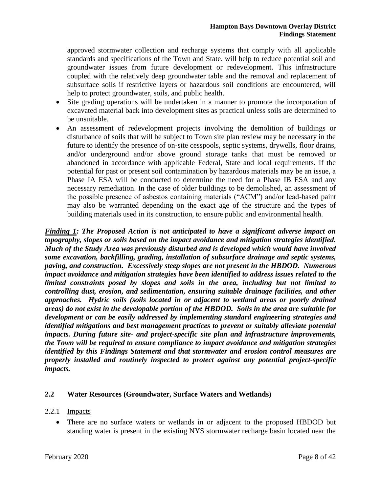approved stormwater collection and recharge systems that comply with all applicable standards and specifications of the Town and State, will help to reduce potential soil and groundwater issues from future development or redevelopment. This infrastructure coupled with the relatively deep groundwater table and the removal and replacement of subsurface soils if restrictive layers or hazardous soil conditions are encountered, will help to protect groundwater, soils, and public health.

- Site grading operations will be undertaken in a manner to promote the incorporation of excavated material back into development sites as practical unless soils are determined to be unsuitable.
- An assessment of redevelopment projects involving the demolition of buildings or disturbance of soils that will be subject to Town site plan review may be necessary in the future to identify the presence of on-site cesspools, septic systems, drywells, floor drains, and/or underground and/or above ground storage tanks that must be removed or abandoned in accordance with applicable Federal, State and local requirements. If the potential for past or present soil contamination by hazardous materials may be an issue, a Phase IA ESA will be conducted to determine the need for a Phase IB ESA and any necessary remediation. In the case of older buildings to be demolished, an assessment of the possible presence of asbestos containing materials ("ACM") and/or lead-based paint may also be warranted depending on the exact age of the structure and the types of building materials used in its construction, to ensure public and environmental health.

*Finding 1: The Proposed Action is not anticipated to have a significant adverse impact on topography, slopes or soils based on the impact avoidance and mitigation strategies identified. Much of the Study Area was previously disturbed and is developed which would have involved some excavation, backfilling, grading, installation of subsurface drainage and septic systems, paving, and construction. Excessively steep slopes are not present in the HBDOD. Numerous impact avoidance and mitigation strategies have been identified to address issues related to the limited constraints posed by slopes and soils in the area, including but not limited to controlling dust, erosion, and sedimentation, ensuring suitable drainage facilities, and other approaches. Hydric soils (soils located in or adjacent to wetland areas or poorly drained areas) do not exist in the developable portion of the HBDOD. Soils in the area are suitable for development or can be easily addressed by implementing standard engineering strategies and identified mitigations and best management practices to prevent or suitably alleviate potential impacts. During future site- and project-specific site plan and infrastructure improvements, the Town will be required to ensure compliance to impact avoidance and mitigation strategies identified by this Findings Statement and that stormwater and erosion control measures are properly installed and routinely inspected to protect against any potential project-specific impacts.*

# **2.2 Water Resources (Groundwater, Surface Waters and Wetlands)**

# 2.2.1 Impacts

 There are no surface waters or wetlands in or adjacent to the proposed HBDOD but standing water is present in the existing NYS stormwater recharge basin located near the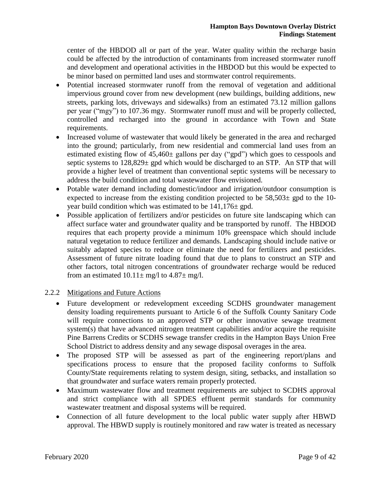center of the HBDOD all or part of the year. Water quality within the recharge basin could be affected by the introduction of contaminants from increased stormwater runoff and development and operational activities in the HBDOD but this would be expected to be minor based on permitted land uses and stormwater control requirements.

- Potential increased stormwater runoff from the removal of vegetation and additional impervious ground cover from new development (new buildings, building additions, new streets, parking lots, driveways and sidewalks) from an estimated 73.12 million gallons per year ("mgy") to 107.36 mgy. Stormwater runoff must and will be properly collected, controlled and recharged into the ground in accordance with Town and State requirements.
- Increased volume of wastewater that would likely be generated in the area and recharged into the ground; particularly, from new residential and commercial land uses from an estimated existing flow of  $45,460\pm$  gallons per day ("gpd") which goes to cesspools and septic systems to  $128,829 \pm$  gpd which would be discharged to an STP. An STP that will provide a higher level of treatment than conventional septic systems will be necessary to address the build condition and total wastewater flow envisioned.
- Potable water demand including domestic/indoor and irrigation/outdoor consumption is expected to increase from the existing condition projected to be  $58,503\pm$  gpd to the 10year build condition which was estimated to be  $141,176 \pm$  gpd.
- Possible application of fertilizers and/or pesticides on future site landscaping which can affect surface water and groundwater quality and be transported by runoff. The HBDOD requires that each property provide a minimum 10% greenspace which should include natural vegetation to reduce fertilizer and demands. Landscaping should include native or suitably adapted species to reduce or eliminate the need for fertilizers and pesticides. Assessment of future nitrate loading found that due to plans to construct an STP and other factors, total nitrogen concentrations of groundwater recharge would be reduced from an estimated  $10.11 \pm$  mg/l to  $4.87 \pm$  mg/l.

# 2.2.2 Mitigations and Future Actions

- Future development or redevelopment exceeding SCDHS groundwater management density loading requirements pursuant to Article 6 of the Suffolk County Sanitary Code will require connections to an approved STP or other innovative sewage treatment system(s) that have advanced nitrogen treatment capabilities and/or acquire the requisite Pine Barrens Credits or SCDHS sewage transfer credits in the Hampton Bays Union Free School District to address density and any sewage disposal overages in the area.
- The proposed STP will be assessed as part of the engineering report/plans and specifications process to ensure that the proposed facility conforms to Suffolk County/State requirements relating to system design, siting, setbacks, and installation so that groundwater and surface waters remain properly protected.
- Maximum wastewater flow and treatment requirements are subject to SCDHS approval and strict compliance with all SPDES effluent permit standards for community wastewater treatment and disposal systems will be required.
- Connection of all future development to the local public water supply after HBWD approval. The HBWD supply is routinely monitored and raw water is treated as necessary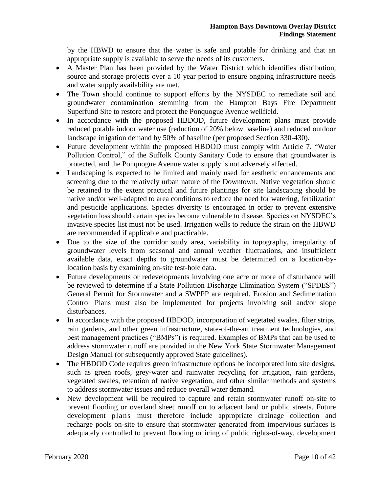by the HBWD to ensure that the water is safe and potable for drinking and that an appropriate supply is available to serve the needs of its customers.

- A Master Plan has been provided by the Water District which identifies distribution, source and storage projects over a 10 year period to ensure ongoing infrastructure needs and water supply availability are met.
- The Town should continue to support efforts by the NYSDEC to remediate soil and groundwater contamination stemming from the Hampton Bays Fire Department Superfund Site to restore and protect the Ponquogue Avenue wellfield.
- In accordance with the proposed HBDOD, future development plans must provide reduced potable indoor water use (reduction of 20% below baseline) and reduced outdoor landscape irrigation demand by 50% of baseline (per proposed Section 330-430).
- Future development within the proposed HBDOD must comply with Article 7, "Water Pollution Control," of the Suffolk County Sanitary Code to ensure that groundwater is protected, and the Ponquogue Avenue water supply is not adversely affected.
- Landscaping is expected to be limited and mainly used for aesthetic enhancements and screening due to the relatively urban nature of the Downtown. Native vegetation should be retained to the extent practical and future plantings for site landscaping should be native and/or well-adapted to area conditions to reduce the need for watering, fertilization and pesticide applications. Species diversity is encouraged in order to prevent extensive vegetation loss should certain species become vulnerable to disease. Species on NYSDEC's invasive species list must not be used. Irrigation wells to reduce the strain on the HBWD are recommended if applicable and practicable.
- Due to the size of the corridor study area, variability in topography, irregularity of groundwater levels from seasonal and annual weather fluctuations, and insufficient available data, exact depths to groundwater must be determined on a location-bylocation basis by examining on-site test-hole data.
- Future developments or redevelopments involving one acre or more of disturbance will be reviewed to determine if a State Pollution Discharge Elimination System ("SPDES") General Permit for Stormwater and a SWPPP are required. Erosion and Sedimentation Control Plans must also be implemented for projects involving soil and/or slope disturbances.
- In accordance with the proposed HBDOD, incorporation of vegetated swales, filter strips, rain gardens, and other green infrastructure, state-of-the-art treatment technologies, and best management practices ("BMPs") is required. Examples of BMPs that can be used to address stormwater runoff are provided in the New York State Stormwater Management Design Manual (or subsequently approved State guidelines).
- The HBDOD Code requires green infrastructure options be incorporated into site designs, such as green roofs, grey-water and rainwater recycling for irrigation, rain gardens, vegetated swales, retention of native vegetation, and other similar methods and systems to address stormwater issues and reduce overall water demand.
- New development will be required to capture and retain stormwater runoff on-site to prevent flooding or overland sheet runoff on to adjacent land or public streets. Future development plans must therefore include appropriate drainage collection and recharge pools on-site to ensure that stormwater generated from impervious surfaces is adequately controlled to prevent flooding or icing of public rights-of-way, development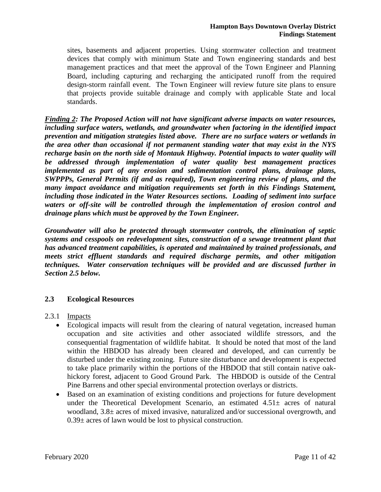sites, basements and adjacent properties. Using stormwater collection and treatment devices that comply with minimum State and Town engineering standards and best management practices and that meet the approval of the Town Engineer and Planning Board, including capturing and recharging the anticipated runoff from the required design-storm rainfall event. The Town Engineer will review future site plans to ensure that projects provide suitable drainage and comply with applicable State and local standards.

*Finding 2: The Proposed Action will not have significant adverse impacts on water resources, including surface waters, wetlands, and groundwater when factoring in the identified impact prevention and mitigation strategies listed above. There are no surface waters or wetlands in the area other than occasional if not permanent standing water that may exist in the NYS recharge basin on the north side of Montauk Highway. Potential impacts to water quality will be addressed through implementation of water quality best management practices implemented as part of any erosion and sedimentation control plans, drainage plans, SWPPPs, General Permits (if and as required), Town engineering review of plans, and the many impact avoidance and mitigation requirements set forth in this Findings Statement, including those indicated in the Water Resources sections. Loading of sediment into surface waters or off-site will be controlled through the implementation of erosion control and drainage plans which must be approved by the Town Engineer.* 

*Groundwater will also be protected through stormwater controls, the elimination of septic systems and cesspools on redevelopment sites, construction of a sewage treatment plant that has advanced treatment capabilities, is operated and maintained by trained professionals, and meets strict effluent standards and required discharge permits, and other mitigation techniques. Water conservation techniques will be provided and are discussed further in Section 2.5 below.* 

# **2.3 Ecological Resources**

2.3.1 Impacts

- Ecological impacts will result from the clearing of natural vegetation, increased human occupation and site activities and other associated wildlife stressors, and the consequential fragmentation of wildlife habitat. It should be noted that most of the land within the HBDOD has already been cleared and developed, and can currently be disturbed under the existing zoning. Future site disturbance and development is expected to take place primarily within the portions of the HBDOD that still contain native oakhickory forest, adjacent to Good Ground Park. The HBDOD is outside of the Central Pine Barrens and other special environmental protection overlays or districts.
- Based on an examination of existing conditions and projections for future development under the Theoretical Development Scenario, an estimated  $4.51\pm$  acres of natural woodland, 3.8± acres of mixed invasive, naturalized and/or successional overgrowth, and  $0.39\pm$  acres of lawn would be lost to physical construction.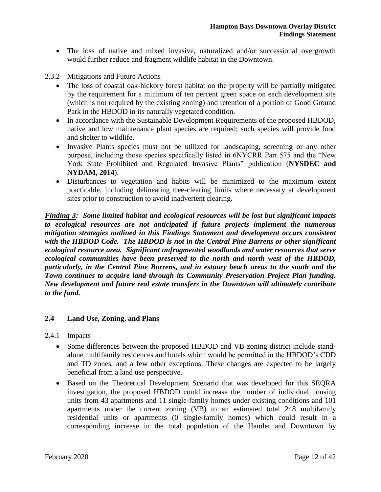- The loss of native and mixed invasive, naturalized and/or successional overgrowth would further reduce and fragment wildlife habitat in the Downtown.
- 2.3.2 Mitigations and Future Actions
	- The loss of coastal oak-hickory forest habitat on the property will be partially mitigated by the requirement for a minimum of ten percent green space on each development site (which is not required by the existing zoning) and retention of a portion of Good Ground Park in the HBDOD in its naturally vegetated condition.
	- In accordance with the Sustainable Development Requirements of the proposed HBDOD, native and low maintenance plant species are required; such species will provide food and shelter to wildlife.
	- Invasive Plants species must not be utilized for landscaping, screening or any other purpose, including those species specifically listed in 6NYCRR Part 575 and the "New York State Prohibited and Regulated Invasive Plants" publication (**NYSDEC and NYDAM, 2014**).
	- Disturbances to vegetation and habits will be minimized to the maximum extent practicable, including delineating tree-clearing limits where necessary at development sites prior to construction to avoid inadvertent clearing.

*Finding 3: Some limited habitat and ecological resources will be lost but significant impacts to ecological resources are not anticipated if future projects implement the numerous mitigation strategies outlined in this Findings Statement and development occurs consistent with the HBDOD Code. The HBDOD is not in the Central Pine Barrens or other significant ecological resource area. Significant unfragmented woodlands and water resources that serve ecological communities have been preserved to the north and north west of the HBDOD, particularly, in the Central Pine Barrens, and in estuary beach areas to the south and the Town continues to acquire land through its Community Preservation Project Plan funding. New development and future real estate transfers in the Downtown will ultimately contribute to the fund.*

# **2.4 Land Use, Zoning, and Plans**

# 2.4.1 Impacts

- Some differences between the proposed HBDOD and VB zoning district include standalone multifamily residences and hotels which would be permitted in the HBDOD's CDD and TD zones, and a few other exceptions. These changes are expected to be largely beneficial from a land use perspective.
- Based on the Theoretical Development Scenario that was developed for this SEQRA investigation, the proposed HBDOD could increase the number of individual housing units from 43 apartments and 11 single-family homes under existing conditions and 101 apartments under the current zoning (VB) to an estimated total 248 multifamily residential units or apartments (0 single-family homes) which could result in a corresponding increase in the total population of the Hamlet and Downtown by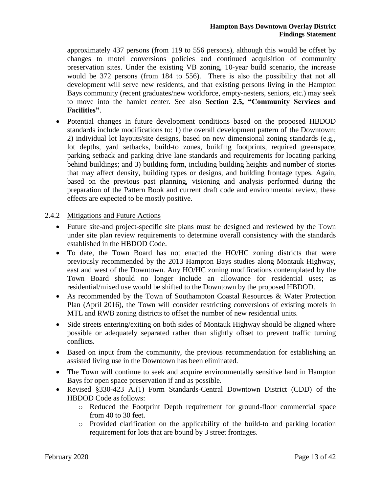approximately 437 persons (from 119 to 556 persons), although this would be offset by changes to motel conversions policies and continued acquisition of community preservation sites. Under the existing VB zoning, 10-year build scenario, the increase would be 372 persons (from 184 to 556). There is also the possibility that not all development will serve new residents, and that existing persons living in the Hampton Bays community (recent graduates/new workforce, empty-nesters, seniors, etc.) may seek to move into the hamlet center. See also **Section 2.5, "Community Services and Facilities"**.

 Potential changes in future development conditions based on the proposed HBDOD standards include modifications to: 1) the overall development pattern of the Downtown; 2) individual lot layouts/site designs, based on new dimensional zoning standards (e.g., lot depths, yard setbacks, build-to zones, building footprints, required greenspace, parking setback and parking drive lane standards and requirements for locating parking behind buildings; and 3) building form, including building heights and number of stories that may affect density, building types or designs, and building frontage types. Again, based on the previous past planning, visioning and analysis performed during the preparation of the Pattern Book and current draft code and environmental review, these effects are expected to be mostly positive.

# 2.4.2 Mitigations and Future Actions

- Future site-and project-specific site plans must be designed and reviewed by the Town under site plan review requirements to determine overall consistency with the standards established in the HBDOD Code.
- To date, the Town Board has not enacted the HO/HC zoning districts that were previously recommended by the 2013 Hampton Bays studies along Montauk Highway, east and west of the Downtown. Any HO/HC zoning modifications contemplated by the Town Board should no longer include an allowance for residential uses; as residential/mixed use would be shifted to the Downtown by the proposed HBDOD.
- As recommended by the Town of Southampton Coastal Resources & Water Protection Plan (April 2016), the Town will consider restricting conversions of existing motels in MTL and RWB zoning districts to offset the number of new residential units.
- Side streets entering/exiting on both sides of Montauk Highway should be aligned where possible or adequately separated rather than slightly offset to prevent traffic turning conflicts.
- Based on input from the community, the previous recommendation for establishing an assisted living use in the Downtown has been eliminated.
- The Town will continue to seek and acquire environmentally sensitive land in Hampton Bays for open space preservation if and as possible.
- Revised §330-423 A.(1) Form Standards-Central Downtown District (CDD) of the HBDOD Code as follows:
	- o Reduced the Footprint Depth requirement for ground-floor commercial space from 40 to 30 feet.
	- o Provided clarification on the applicability of the build-to and parking location requirement for lots that are bound by 3 street frontages.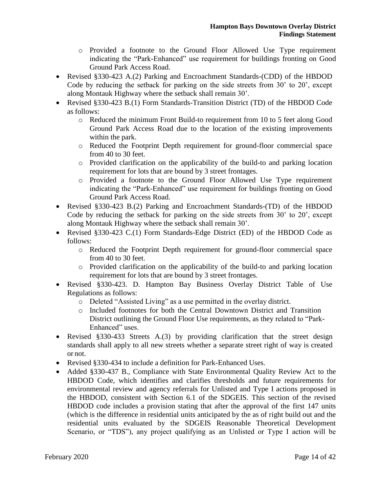- o Provided a footnote to the Ground Floor Allowed Use Type requirement indicating the "Park-Enhanced" use requirement for buildings fronting on Good Ground Park Access Road.
- Revised §330-423 A.(2) Parking and Encroachment Standards-(CDD) of the HBDOD Code by reducing the setback for parking on the side streets from 30' to 20', except along Montauk Highway where the setback shall remain 30'.
- Revised §330-423 B.(1) Form Standards-Transition District (TD) of the HBDOD Code as follows:
	- o Reduced the minimum Front Build-to requirement from 10 to 5 feet along Good Ground Park Access Road due to the location of the existing improvements within the park.
	- o Reduced the Footprint Depth requirement for ground-floor commercial space from 40 to 30 feet.
	- o Provided clarification on the applicability of the build-to and parking location requirement for lots that are bound by 3 street frontages.
	- o Provided a footnote to the Ground Floor Allowed Use Type requirement indicating the "Park-Enhanced" use requirement for buildings fronting on Good Ground Park Access Road.
- Revised §330-423 B.(2) Parking and Encroachment Standards-(TD) of the HBDOD Code by reducing the setback for parking on the side streets from 30' to 20', except along Montauk Highway where the setback shall remain 30'.
- Revised §330-423 C.(1) Form Standards-Edge District (ED) of the HBDOD Code as follows:
	- o Reduced the Footprint Depth requirement for ground-floor commercial space from 40 to 30 feet.
	- o Provided clarification on the applicability of the build-to and parking location requirement for lots that are bound by 3 street frontages.
- Revised §330-423. D. Hampton Bay Business Overlay District Table of Use Regulations as follows:
	- o Deleted "Assisted Living" as a use permitted in the overlay district.
	- o Included footnotes for both the Central Downtown District and Transition District outlining the Ground Floor Use requirements, as they related to "Park-Enhanced" uses.
- Revised §330-433 Streets A.(3) by providing clarification that the street design standards shall apply to all new streets whether a separate street right of way is created or not.
- Revised §330-434 to include a definition for Park-Enhanced Uses.
- Added §330-437 B., Compliance with State Environmental Quality Review Act to the HBDOD Code, which identifies and clarifies thresholds and future requirements for environmental review and agency referrals for Unlisted and Type I actions proposed in the HBDOD, consistent with Section 6.1 of the SDGEIS. This section of the revised HBDOD code includes a provision stating that after the approval of the first 147 units (which is the difference in residential units anticipated by the as of right build out and the residential units evaluated by the SDGEIS Reasonable Theoretical Development Scenario, or "TDS"), any project qualifying as an Unlisted or Type I action will be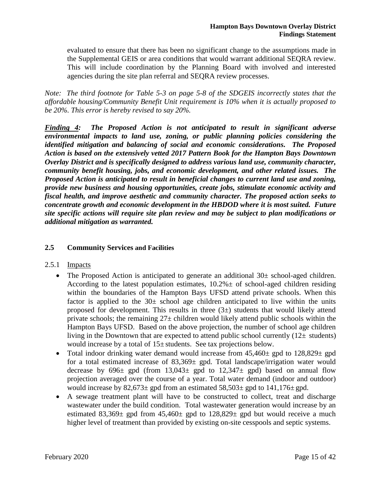evaluated to ensure that there has been no significant change to the assumptions made in the Supplemental GEIS or area conditions that would warrant additional SEQRA review. This will include coordination by the Planning Board with involved and interested agencies during the site plan referral and SEQRA review processes.

*Note: The third footnote for Table 5-3 on page 5-8 of the SDGEIS incorrectly states that the affordable housing/Community Benefit Unit requirement is 10% when it is actually proposed to be 20%. This error is hereby revised to say 20%.*

*Finding 4: The Proposed Action is not anticipated to result in significant adverse environmental impacts to land use, zoning, or public planning policies considering the identified mitigation and balancing of social and economic considerations. The Proposed Action is based on the extensively vetted 2017 Pattern Book for the Hampton Bays Downtown Overlay District and is specifically designed to address various land use, community character, community benefit housing, jobs, and economic development, and other related issues. The Proposed Action is anticipated to result in beneficial changes to current land use and zoning, provide new business and housing opportunities, create jobs, stimulate economic activity and fiscal health, and improve aesthetic and community character. The proposed action seeks to concentrate growth and economic development in the HBDOD where it is most suited. Future site specific actions will require site plan review and may be subject to plan modifications or additional mitigation as warranted.*

# **2.5 Community Services and Facilities**

# 2.5.1 Impacts

- The Proposed Action is anticipated to generate an additional  $30\pm$  school-aged children. According to the latest population estimates,  $10.2\% \pm 0.05$  school-aged children residing within the boundaries of the Hampton Bays UFSD attend private schools. When this factor is applied to the  $30\pm$  school age children anticipated to live within the units proposed for development. This results in three  $(3<sub>±</sub>)$  students that would likely attend private schools; the remaining  $27\pm$  children would likely attend public schools within the Hampton Bays UFSD. Based on the above projection, the number of school age children living in the Downtown that are expected to attend public school currently  $(12\pm$  students) would increase by a total of  $15\pm$  students. See tax projections below.
- Total indoor drinking water demand would increase from  $45,460\pm$  gpd to  $128,829\pm$  gpd for a total estimated increase of 83,369± gpd. Total landscape/irrigation water would decrease by  $696\pm$  gpd (from  $13,043\pm$  gpd to  $12,347\pm$  gpd) based on annual flow projection averaged over the course of a year. Total water demand (indoor and outdoor) would increase by  $82,673\pm$  gpd from an estimated  $58,503\pm$  gpd to  $141,176\pm$  gpd.
- A sewage treatment plant will have to be constructed to collect, treat and discharge wastewater under the build condition. Total wastewater generation would increase by an estimated 83,369 $\pm$  gpd from 45,460 $\pm$  gpd to 128,829 $\pm$  gpd but would receive a much higher level of treatment than provided by existing on-site cesspools and septic systems.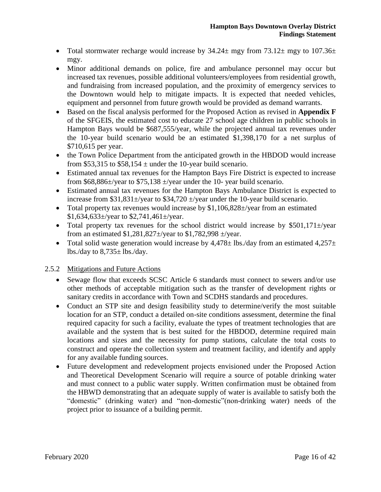- Total stormwater recharge would increase by  $34.24 \pm$  mgy from  $73.12 \pm$  mgy to  $107.36 \pm$ mgy.
- Minor additional demands on police, fire and ambulance personnel may occur but increased tax revenues, possible additional volunteers/employees from residential growth, and fundraising from increased population, and the proximity of emergency services to the Downtown would help to mitigate impacts. It is expected that needed vehicles, equipment and personnel from future growth would be provided as demand warrants.
- Based on the fiscal analysis performed for the Proposed Action as revised in **Appendix F** of the SFGEIS, the estimated cost to educate 27 school age children in public schools in Hampton Bays would be \$687,555/year, while the projected annual tax revenues under the 10-year build scenario would be an estimated \$1,398,170 for a net surplus of \$710,615 per year.
- the Town Police Department from the anticipated growth in the HBDOD would increase from \$53,315 to \$58,154  $\pm$  under the 10-year build scenario.
- Estimated annual tax revenues for the Hampton Bays Fire District is expected to increase from \$68,886 $\pm$ /year to \$75,138  $\pm$ /year under the 10- year build scenario.
- Estimated annual tax revenues for the Hampton Bays Ambulance District is expected to increase from  $$31,831\pm$ /year to  $$34,720\pm$ /year under the 10-year build scenario.
- Total property tax revenues would increase by \$1,106,828±/year from an estimated  $$1,634,633\pm$ /year to  $$2,741,461\pm$ /year.
- Total property tax revenues for the school district would increase by  $$501,171\pm$ /year from an estimated  $$1,281,827 \pm \text{/year}$  to  $$1,782,998 \pm \text{/year}.$
- Total solid waste generation would increase by  $4,478\pm$  lbs./day from an estimated  $4,257\pm$ lbs./day to  $8,735\pm$  lbs./day.

# 2.5.2 Mitigations and Future Actions

- Sewage flow that exceeds SCSC Article 6 standards must connect to sewers and/or use other methods of acceptable mitigation such as the transfer of development rights or sanitary credits in accordance with Town and SCDHS standards and procedures.
- Conduct an STP site and design feasibility study to determine/verify the most suitable location for an STP, conduct a detailed on-site conditions assessment, determine the final required capacity for such a facility, evaluate the types of treatment technologies that are available and the system that is best suited for the HBDOD, determine required main locations and sizes and the necessity for pump stations, calculate the total costs to construct and operate the collection system and treatment facility, and identify and apply for any available funding sources.
- Future development and redevelopment projects envisioned under the Proposed Action and Theoretical Development Scenario will require a source of potable drinking water and must connect to a public water supply. Written confirmation must be obtained from the HBWD demonstrating that an adequate supply of water is available to satisfy both the "domestic" (drinking water) and "non-domestic"(non-drinking water) needs of the project prior to issuance of a building permit.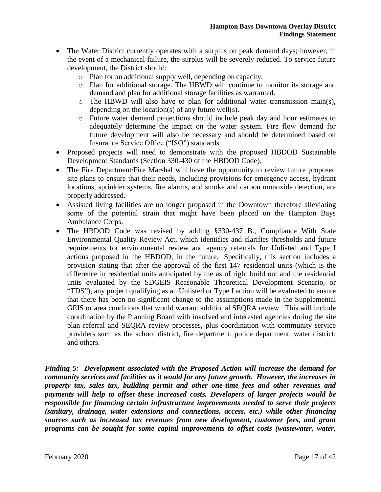- The Water District currently operates with a surplus on peak demand days; however, in the event of a mechanical failure, the surplus will be severely reduced. To service future development, the District should:
	- o Plan for an additional supply well, depending on capacity.
	- o Plan for additional storage. The HBWD will continue to monitor its storage and demand and plan for additional storage facilities as warranted.
	- o The HBWD will also have to plan for additional water transmission main(s), depending on the location(s) of any future well(s).
	- o Future water demand projections should include peak day and hour estimates to adequately determine the impact on the water system. Fire flow demand for future development will also be necessary and should be determined based on Insurance Service Office ("ISO") standards.
- Proposed projects will need to demonstrate with the proposed HBDOD Sustainable Development Standards (Section 330-430 of the HBDOD Code).
- The Fire Department/Fire Marshal will have the opportunity to review future proposed site plans to ensure that their needs, including provisions for emergency access, hydrant locations, sprinkler systems, fire alarms, and smoke and carbon monoxide detection, are properly addressed.
- Assisted living facilities are no longer proposed in the Downtown therefore alleviating some of the potential strain that might have been placed on the Hampton Bays Ambulance Corps.
- The HBDOD Code was revised by adding §330-437 B., Compliance With State Environmental Quality Review Act, which identifies and clarifies thresholds and future requirements for environmental review and agency referrals for Unlisted and Type I actions proposed in the HBDOD, in the future. Specifically, this section includes a provision stating that after the approval of the first 147 residential units (which is the difference in residential units anticipated by the as of right build out and the residential units evaluated by the SDGEIS Reasonable Theoretical Development Scenario, or "TDS"), any project qualifying as an Unlisted or Type I action will be evaluated to ensure that there has been no significant change to the assumptions made in the Supplemental GEIS or area conditions that would warrant additional SEQRA review. This will include coordination by the Planning Board with involved and interested agencies during the site plan referral and SEQRA review processes, plus coordination with community service providers such as the school district, fire department, police department, water district, and others.

*Finding 5: Development associated with the Proposed Action will increase the demand for community services and facilities as it would for any future growth. However, the increases in property tax, sales tax, building permit and other one-time fees and other revenues and payments will help to offset these increased costs. Developers of larger projects would be responsible for financing certain infrastructure improvements needed to serve their projects (sanitary, drainage, water extensions and connections, access, etc.) while other financing sources such as increased tax revenues from new development, customer fees, and grant programs can be sought for some capital improvements to offset costs (wastewater, water,*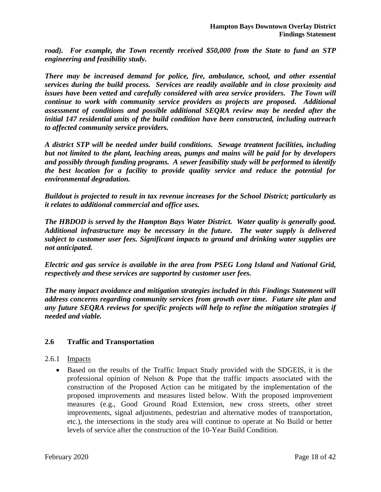*road). For example, the Town recently received \$50,000 from the State to fund an STP engineering and feasibility study.* 

*There may be increased demand for police, fire, ambulance, school, and other essential services during the build process. Services are readily available and in close proximity and issues have been vetted and carefully considered with area service providers. The Town will continue to work with community service providers as projects are proposed. Additional assessment of conditions and possible additional SEQRA review may be needed after the initial 147 residential units of the build condition have been constructed, including outreach to affected community service providers.*

*A district STP will be needed under build conditions. Sewage treatment facilities, including but not limited to the plant, leaching areas, pumps and mains will be paid for by developers and possibly through funding programs. A sewer feasibility study will be performed to identify the best location for a facility to provide quality service and reduce the potential for environmental degradation.* 

*Buildout is projected to result in tax revenue increases for the School District; particularly as it relates to additional commercial and office uses.* 

*The HBDOD is served by the Hampton Bays Water District. Water quality is generally good. Additional infrastructure may be necessary in the future. The water supply is delivered subject to customer user fees. Significant impacts to ground and drinking water supplies are not anticipated.*

*Electric and gas service is available in the area from PSEG Long Island and National Grid, respectively and these services are supported by customer user fees.*

*The many impact avoidance and mitigation strategies included in this Findings Statement will address concerns regarding community services from growth over time. Future site plan and any future SEQRA reviews for specific projects will help to refine the mitigation strategies if needed and viable.* 

# **2.6 Traffic and Transportation**

# 2.6.1 Impacts

 Based on the results of the Traffic Impact Study provided with the SDGEIS, it is the professional opinion of Nelson & Pope that the traffic impacts associated with the construction of the Proposed Action can be mitigated by the implementation of the proposed improvements and measures listed below. With the proposed improvement measures (e.g., Good Ground Road Extension, new cross streets, other street improvements, signal adjustments, pedestrian and alternative modes of transportation, etc.), the intersections in the study area will continue to operate at No Build or better levels of service after the construction of the 10-Year Build Condition.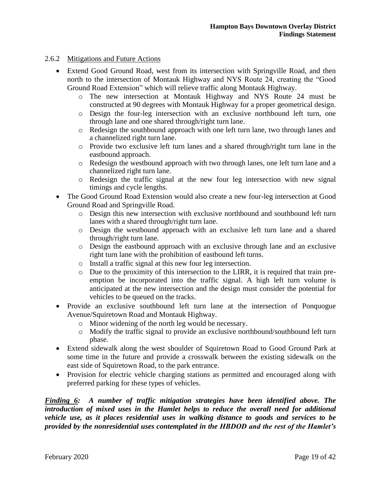#### 2.6.2 Mitigations and Future Actions

- Extend Good Ground Road, west from its intersection with Springville Road, and then north to the intersection of Montauk Highway and NYS Route 24, creating the "Good Ground Road Extension" which will relieve traffic along Montauk Highway.
	- o The new intersection at Montauk Highway and NYS Route 24 must be constructed at 90 degrees with Montauk Highway for a proper geometrical design.
	- o Design the four-leg intersection with an exclusive northbound left turn, one through lane and one shared through/right turn lane.
	- o Redesign the southbound approach with one left turn lane, two through lanes and a channelized right turn lane.
	- $\circ$  Provide two exclusive left turn lanes and a shared through/right turn lane in the eastbound approach.
	- o Redesign the westbound approach with two through lanes, one left turn lane and a channelized right turn lane.
	- o Redesign the traffic signal at the new four leg intersection with new signal timings and cycle lengths.
- The Good Ground Road Extension would also create a new four-leg intersection at Good Ground Road and Springville Road.
	- o Design this new intersection with exclusive northbound and southbound left turn lanes with a shared through/right turn lane.
	- o Design the westbound approach with an exclusive left turn lane and a shared through/right turn lane.
	- o Design the eastbound approach with an exclusive through lane and an exclusive right turn lane with the prohibition of eastbound left turns.
	- o Install a traffic signal at this new four leg intersection.
	- o Due to the proximity of this intersection to the LIRR, it is required that train preemption be incorporated into the traffic signal. A high left turn volume is anticipated at the new intersection and the design must consider the potential for vehicles to be queued on the tracks.
- Provide an exclusive southbound left turn lane at the intersection of Ponquogue Avenue/Squiretown Road and Montauk Highway.
	- o Minor widening of the north leg would be necessary.
	- o Modify the traffic signal to provide an exclusive northbound/southbound left turn phase.
- Extend sidewalk along the west shoulder of Squiretown Road to Good Ground Park at some time in the future and provide a crosswalk between the existing sidewalk on the east side of Squiretown Road, to the park entrance.
- Provision for electric vehicle charging stations as permitted and encouraged along with preferred parking for these types of vehicles.

*Finding 6: A number of traffic mitigation strategies have been identified above. The introduction of mixed uses in the Hamlet helps to reduce the overall need for additional vehicle use, as it places residential uses in walking distance to goods and services to be provided by the nonresidential uses contemplated in the HBDOD and the rest of the Hamlet's*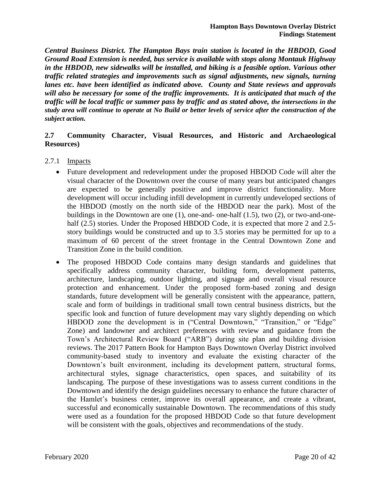*Central Business District. The Hampton Bays train station is located in the HBDOD, Good Ground Road Extension is needed, bus service is available with stops along Montauk Highway in the HBDOD, new sidewalks will be installed, and biking is a feasible option. Various other traffic related strategies and improvements such as signal adjustments, new signals, turning lanes etc. have been identified as indicated above. County and State reviews and approvals will also be necessary for some of the traffic improvements. It is anticipated that much of the traffic will be local traffic or summer pass by traffic and as stated above, the intersections in the study area will continue to operate at No Build or better levels of service after the construction of the subject action.*

# **2.7 Community Character, Visual Resources, and Historic and Archaeological Resources)**

- 2.7.1 Impacts
	- Future development and redevelopment under the proposed HBDOD Code will alter the visual character of the Downtown over the course of many years but anticipated changes are expected to be generally positive and improve district functionality. More development will occur including infill development in currently undeveloped sections of the HBDOD (mostly on the north side of the HBDOD near the park). Most of the buildings in the Downtown are one (1), one-and- one-half (1.5), two (2), or two-and-onehalf (2.5) stories. Under the Proposed HBDOD Code, it is expected that more 2 and 2.5story buildings would be constructed and up to 3.5 stories may be permitted for up to a maximum of 60 percent of the street frontage in the Central Downtown Zone and Transition Zone in the build condition.
	- The proposed HBDOD Code contains many design standards and guidelines that specifically address community character, building form, development patterns, architecture, landscaping, outdoor lighting, and signage and overall visual resource protection and enhancement. Under the proposed form-based zoning and design standards, future development will be generally consistent with the appearance, pattern, scale and form of buildings in traditional small town central business districts, but the specific look and function of future development may vary slightly depending on which HBDOD zone the development is in ("Central Downtown," "Transition," or "Edge" Zone) and landowner and architect preferences with review and guidance from the Town's Architectural Review Board ("ARB") during site plan and building division reviews. The 2017 Pattern Book for Hampton Bays Downtown Overlay District involved community-based study to inventory and evaluate the existing character of the Downtown's built environment, including its development pattern, structural forms, architectural styles, signage characteristics, open spaces, and suitability of its landscaping. The purpose of these investigations was to assess current conditions in the Downtown and identify the design guidelines necessary to enhance the future character of the Hamlet's business center, improve its overall appearance, and create a vibrant, successful and economically sustainable Downtown. The recommendations of this study were used as a foundation for the proposed HBDOD Code so that future development will be consistent with the goals, objectives and recommendations of the study.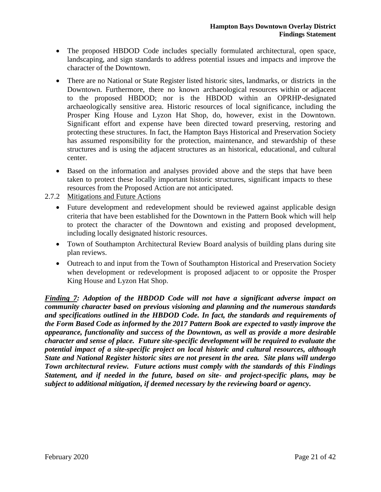- The proposed HBDOD Code includes specially formulated architectural, open space, landscaping, and sign standards to address potential issues and impacts and improve the character of the Downtown.
- There are no National or State Register listed historic sites, landmarks, or districts in the Downtown. Furthermore, there no known archaeological resources within or adjacent to the proposed HBDOD; nor is the HBDOD within an OPRHP-designated archaeologically sensitive area. Historic resources of local significance, including the Prosper King House and Lyzon Hat Shop, do, however, exist in the Downtown. Significant effort and expense have been directed toward preserving, restoring and protecting these structures. In fact, the Hampton Bays Historical and Preservation Society has assumed responsibility for the protection, maintenance, and stewardship of these structures and is using the adjacent structures as an historical, educational, and cultural center.
- Based on the information and analyses provided above and the steps that have been taken to protect these locally important historic structures, significant impacts to these resources from the Proposed Action are not anticipated.
- 2.7.2 Mitigations and Future Actions
	- Future development and redevelopment should be reviewed against applicable design criteria that have been established for the Downtown in the Pattern Book which will help to protect the character of the Downtown and existing and proposed development, including locally designated historic resources.
	- Town of Southampton Architectural Review Board analysis of building plans during site plan reviews.
	- Outreach to and input from the Town of Southampton Historical and Preservation Society when development or redevelopment is proposed adjacent to or opposite the Prosper King House and Lyzon Hat Shop.

*Finding 7: Adoption of the HBDOD Code will not have a significant adverse impact on community character based on previous visioning and planning and the numerous standards and specifications outlined in the HBDOD Code. In fact, the standards and requirements of the Form Based Code as informed by the 2017 Pattern Book are expected to vastly improve the appearance, functionality and success of the Downtown, as well as provide a more desirable character and sense of place. Future site-specific development will be required to evaluate the potential impact of a site-specific project on local historic and cultural resources, although State and National Register historic sites are not present in the area. Site plans will undergo Town architectural review. Future actions must comply with the standards of this Findings Statement, and if needed in the future, based on site- and project-specific plans, may be subject to additional mitigation, if deemed necessary by the reviewing board or agency.*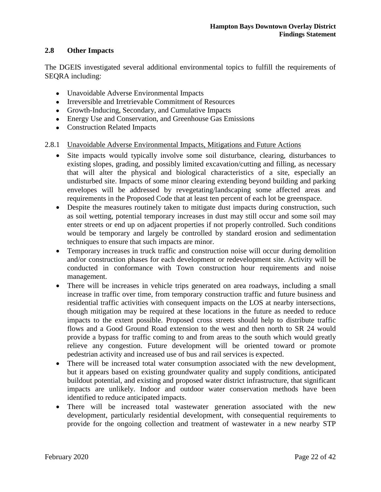# **2.8 Other Impacts**

The DGEIS investigated several additional environmental topics to fulfill the requirements of SEQRA including:

- Unavoidable Adverse Environmental Impacts
- Irreversible and Irretrievable Commitment of Resources
- Growth-Inducing, Secondary, and Cumulative Impacts
- Energy Use and Conservation, and Greenhouse Gas Emissions
- Construction Related Impacts
- 2.8.1 Unavoidable Adverse Environmental Impacts, Mitigations and Future Actions
	- Site impacts would typically involve some soil disturbance, clearing, disturbances to existing slopes, grading, and possibly limited excavation/cutting and filling, as necessary that will alter the physical and biological characteristics of a site, especially an undisturbed site. Impacts of some minor clearing extending beyond building and parking envelopes will be addressed by revegetating/landscaping some affected areas and requirements in the Proposed Code that at least ten percent of each lot be greenspace.
	- Despite the measures routinely taken to mitigate dust impacts during construction, such as soil wetting, potential temporary increases in dust may still occur and some soil may enter streets or end up on adjacent properties if not properly controlled. Such conditions would be temporary and largely be controlled by standard erosion and sedimentation techniques to ensure that such impacts are minor.
	- Temporary increases in truck traffic and construction noise will occur during demolition and/or construction phases for each development or redevelopment site. Activity will be conducted in conformance with Town construction hour requirements and noise management.
	- There will be increases in vehicle trips generated on area roadways, including a small increase in traffic over time, from temporary construction traffic and future business and residential traffic activities with consequent impacts on the LOS at nearby intersections, though mitigation may be required at these locations in the future as needed to reduce impacts to the extent possible. Proposed cross streets should help to distribute traffic flows and a Good Ground Road extension to the west and then north to SR 24 would provide a bypass for traffic coming to and from areas to the south which would greatly relieve any congestion. Future development will be oriented toward or promote pedestrian activity and increased use of bus and rail services is expected.
	- There will be increased total water consumption associated with the new development, but it appears based on existing groundwater quality and supply conditions, anticipated buildout potential, and existing and proposed water district infrastructure, that significant impacts are unlikely. Indoor and outdoor water conservation methods have been identified to reduce anticipated impacts.
	- There will be increased total wastewater generation associated with the new development, particularly residential development, with consequential requirements to provide for the ongoing collection and treatment of wastewater in a new nearby STP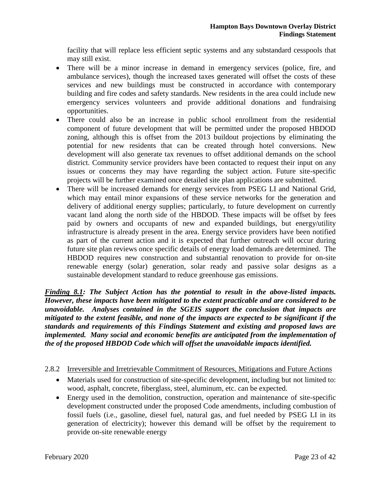facility that will replace less efficient septic systems and any substandard cesspools that may still exist.

- There will be a minor increase in demand in emergency services (police, fire, and ambulance services), though the increased taxes generated will offset the costs of these services and new buildings must be constructed in accordance with contemporary building and fire codes and safety standards. New residents in the area could include new emergency services volunteers and provide additional donations and fundraising opportunities.
- There could also be an increase in public school enrollment from the residential component of future development that will be permitted under the proposed HBDOD zoning, although this is offset from the 2013 buildout projections by eliminating the potential for new residents that can be created through hotel conversions. New development will also generate tax revenues to offset additional demands on the school district. Community service providers have been contacted to request their input on any issues or concerns they may have regarding the subject action. Future site-specific projects will be further examined once detailed site plan applications are submitted.
- There will be increased demands for energy services from PSEG LI and National Grid, which may entail minor expansions of these service networks for the generation and delivery of additional energy supplies; particularly, to future development on currently vacant land along the north side of the HBDOD. These impacts will be offset by fees paid by owners and occupants of new and expanded buildings, but energy/utility infrastructure is already present in the area. Energy service providers have been notified as part of the current action and it is expected that further outreach will occur during future site plan reviews once specific details of energy load demands are determined. The HBDOD requires new construction and substantial renovation to provide for on-site renewable energy (solar) generation, solar ready and passive solar designs as a sustainable development standard to reduce greenhouse gas emissions.

*Finding 8.1: The Subject Action has the potential to result in the above-listed impacts. However, these impacts have been mitigated to the extent practicable and are considered to be unavoidable. Analyses contained in the SGEIS support the conclusion that impacts are mitigated to the extent feasible, and none of the impacts are expected to be significant if the standards and requirements of this Findings Statement and existing and proposed laws are implemented. Many social and economic benefits are anticipated from the implementation of the of the proposed HBDOD Code which will offset the unavoidable impacts identified.*

# 2.8.2 Irreversible and Irretrievable Commitment of Resources, Mitigations and Future Actions

- Materials used for construction of site-specific development, including but not limited to: wood, asphalt, concrete, fiberglass, steel, aluminum, etc. can be expected.
- Energy used in the demolition, construction, operation and maintenance of site-specific development constructed under the proposed Code amendments, including combustion of fossil fuels (i.e., gasoline, diesel fuel, natural gas, and fuel needed by PSEG LI in its generation of electricity); however this demand will be offset by the requirement to provide on-site renewable energy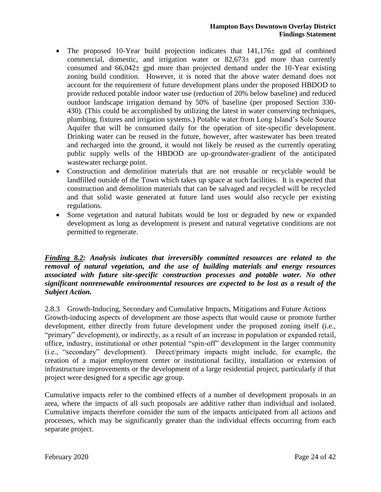- The proposed 10-Year build projection indicates that  $141,176 \pm$  gpd of combined commercial, domestic, and irrigation water or  $82,673\pm$  gpd more than currently consumed and  $66,042\pm$  gpd more than projected demand under the 10-Year existing zoning build condition. However, it is noted that the above water demand does not account for the requirement of future development plans under the proposed HBDOD to provide reduced potable indoor water use (reduction of 20% below baseline) and reduced outdoor landscape irrigation demand by 50% of baseline (per proposed Section 330- 430). (This could be accomplished by utilizing the latest in water conserving techniques, plumbing, fixtures and irrigation systems.) Potable water from Long Island's Sole Source Aquifer that will be consumed daily for the operation of site-specific development. Drinking water can be reused in the future, however, after wastewater has been treated and recharged into the ground, it would not likely be reused as the currently operating public supply wells of the HBDOD are up-groundwater-gradient of the anticipated wastewater recharge point.
- Construction and demolition materials that are not reusable or recyclable would be landfilled outside of the Town which takes up space at such facilities. It is expected that construction and demolition materials that can be salvaged and recycled will be recycled and that solid waste generated at future land uses would also recycle per existing regulations.
- Some vegetation and natural habitats would be lost or degraded by new or expanded development as long as development is present and natural vegetative conditions are not permitted to regenerate.

*Finding 8.2: Analysis indicates that irreversibly committed resources are related to the removal of natural vegetation, and the use of building materials and energy resources associated with future site-specific construction processes and potable water. No other significant nonrenewable environmental resources are expected to be lost as a result of the Subject Action.* 

2.8.3 Growth-Inducing, Secondary and Cumulative Impacts, Mitigations and Future Actions Growth-inducing aspects of development are those aspects that would cause or promote further development, either directly from future development under the proposed zoning itself (i.e., "primary" development), or indirectly, as a result of an increase in population or expanded retail, office, industry, institutional or other potential "spin-off" development in the larger community (i.e., "secondary" development). Direct/primary impacts might include, for example, the creation of a major employment center or institutional facility, installation or extension of infrastructure improvements or the development of a large residential project, particularly if that project were designed for a specific age group.

Cumulative impacts refer to the combined effects of a number of development proposals in an area, where the impacts of all such proposals are additive rather than individual and isolated. Cumulative impacts therefore consider the sum of the impacts anticipated from all actions and processes, which may be significantly greater than the individual effects occurring from each separate project.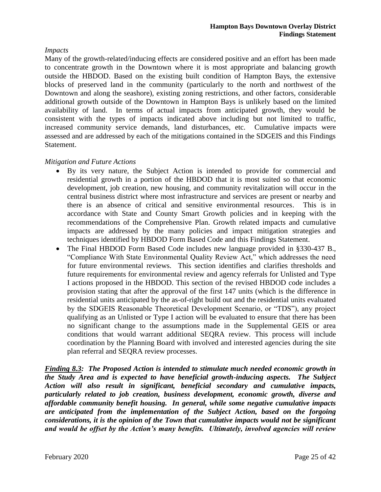# *Impacts*

Many of the growth-related/inducing effects are considered positive and an effort has been made to concentrate growth in the Downtown where it is most appropriate and balancing growth outside the HBDOD. Based on the existing built condition of Hampton Bays, the extensive blocks of preserved land in the community (particularly to the north and northwest of the Downtown and along the seashore), existing zoning restrictions, and other factors, considerable additional growth outside of the Downtown in Hampton Bays is unlikely based on the limited availability of land. In terms of actual impacts from anticipated growth, they would be consistent with the types of impacts indicated above including but not limited to traffic, increased community service demands, land disturbances, etc. Cumulative impacts were assessed and are addressed by each of the mitigations contained in the SDGEIS and this Findings Statement.

# *Mitigation and Future Actions*

- By its very nature, the Subject Action is intended to provide for commercial and residential growth in a portion of the HBDOD that it is most suited so that economic development, job creation, new housing, and community revitalization will occur in the central business district where most infrastructure and services are present or nearby and there is an absence of critical and sensitive environmental resources. This is in accordance with State and County Smart Growth policies and in keeping with the recommendations of the Comprehensive Plan. Growth related impacts and cumulative impacts are addressed by the many policies and impact mitigation strategies and techniques identified by HBDOD Form Based Code and this Findings Statement.
- The Final HBDOD Form Based Code includes new language provided in §330-437 B., "Compliance With State Environmental Quality Review Act," which addresses the need for future environmental reviews. This section identifies and clarifies thresholds and future requirements for environmental review and agency referrals for Unlisted and Type I actions proposed in the HBDOD. This section of the revised HBDOD code includes a provision stating that after the approval of the first 147 units (which is the difference in residential units anticipated by the as-of-right build out and the residential units evaluated by the SDGEIS Reasonable Theoretical Development Scenario, or "TDS"), any project qualifying as an Unlisted or Type I action will be evaluated to ensure that there has been no significant change to the assumptions made in the Supplemental GEIS or area conditions that would warrant additional SEQRA review. This process will include coordination by the Planning Board with involved and interested agencies during the site plan referral and SEQRA review processes.

*Finding 8.3: The Proposed Action is intended to stimulate much needed economic growth in the Study Area and is expected to have beneficial growth-inducing aspects. The Subject Action will also result in significant, beneficial secondary and cumulative impacts, particularly related to job creation, business development, economic growth, diverse and affordable community benefit housing. In general, while some negative cumulative impacts are anticipated from the implementation of the Subject Action, based on the forgoing considerations, it is the opinion of the Town that cumulative impacts would not be significant and would be offset by the Action's many benefits. Ultimately, involved agencies will review*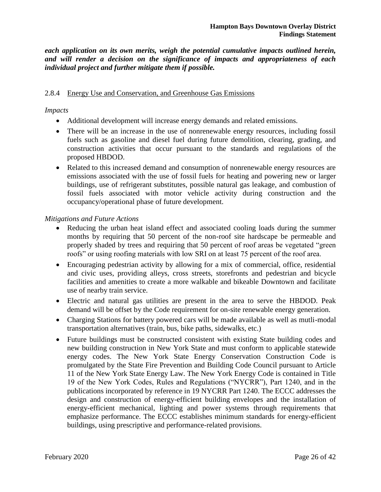*each application on its own merits, weigh the potential cumulative impacts outlined herein, and will render a decision on the significance of impacts and appropriateness of each individual project and further mitigate them if possible.* 

#### 2.8.4 Energy Use and Conservation, and Greenhouse Gas Emissions

#### *Impacts*

- Additional development will increase energy demands and related emissions.
- There will be an increase in the use of nonrenewable energy resources, including fossil fuels such as gasoline and diesel fuel during future demolition, clearing, grading, and construction activities that occur pursuant to the standards and regulations of the proposed HBDOD.
- Related to this increased demand and consumption of nonrenewable energy resources are emissions associated with the use of fossil fuels for heating and powering new or larger buildings, use of refrigerant substitutes, possible natural gas leakage, and combustion of fossil fuels associated with motor vehicle activity during construction and the occupancy/operational phase of future development.

#### *Mitigations and Future Actions*

- Reducing the urban heat island effect and associated cooling loads during the summer months by requiring that 50 percent of the non-roof site hardscape be permeable and properly shaded by trees and requiring that 50 percent of roof areas be vegetated "green roofs" or using roofing materials with low SRI on at least 75 percent of the roof area.
- Encouraging pedestrian activity by allowing for a mix of commercial, office, residential and civic uses, providing alleys, cross streets, storefronts and pedestrian and bicycle facilities and amenities to create a more walkable and bikeable Downtown and facilitate use of nearby train service.
- Electric and natural gas utilities are present in the area to serve the HBDOD. Peak demand will be offset by the Code requirement for on-site renewable energy generation.
- Charging Stations for battery powered cars will be made available as well as mutli-modal transportation alternatives (train, bus, bike paths, sidewalks, etc.)
- Future buildings must be constructed consistent with existing State building codes and new building construction in New York State and must conform to applicable statewide energy codes. The New York State Energy Conservation Construction Code is promulgated by the State Fire Prevention and Building Code Council pursuant to Article 11 of the New York State Energy Law. The New York Energy Code is contained in Title 19 of the New York Codes, Rules and Regulations ("NYCRR"), Part 1240, and in the publications incorporated by reference in 19 NYCRR Part 1240. The ECCC addresses the design and construction of energy-efficient building envelopes and the installation of energy-efficient mechanical, lighting and power systems through requirements that emphasize performance. The ECCC establishes minimum standards for energy-efficient buildings, using prescriptive and performance-related provisions.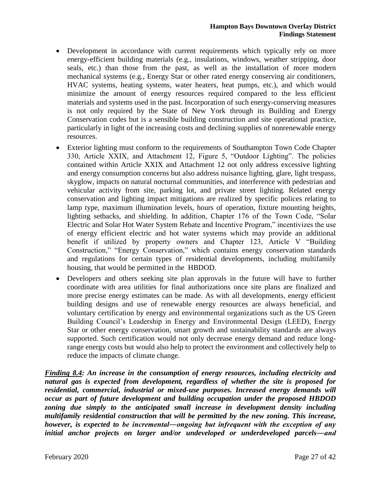- Development in accordance with current requirements which typically rely on more energy-efficient building materials (e.g., insulations, windows, weather stripping, door seals, etc.) than those from the past, as well as the installation of more modern mechanical systems (e.g., Energy Star or other rated energy conserving air conditioners, HVAC systems, heating systems, water heaters, heat pumps, etc.), and which would minimize the amount of energy resources required compared to the less efficient materials and systems used in the past. Incorporation of such energy-conserving measures is not only required by the State of New York through its Building and Energy Conservation codes but is a sensible building construction and site operational practice, particularly in light of the increasing costs and declining supplies of nonrenewable energy resources.
- Exterior lighting must conform to the requirements of Southampton Town Code Chapter 330, Article XXIX, and Attachment 12, Figure 5, "Outdoor Lighting". The policies contained within Article XXIX and Attachment 12 not only address excessive lighting and energy consumption concerns but also address nuisance lighting, glare, light trespass, skyglow, impacts on natural nocturnal communities, and interference with pedestrian and vehicular activity from site, parking lot, and private street lighting. Related energy conservation and lighting impact mitigations are realized by specific polices relating to lamp type, maximum illumination levels, hours of operation, fixture mounting heights, lighting setbacks, and shielding. In addition, Chapter 176 of the Town Code, "Solar Electric and Solar Hot Water System Rebate and Incentive Program," incentivizes the use of energy efficient electric and hot water systems which may provide an additional benefit if utilized by property owners and Chapter 123, Article V "Building Construction," "Energy Conservation," which contains energy conservation standards and regulations for certain types of residential developments, including multifamily housing, that would be permitted in the HBDOD.
- Developers and others seeking site plan approvals in the future will have to further coordinate with area utilities for final authorizations once site plans are finalized and more precise energy estimates can be made. As with all developments, energy efficient building designs and use of renewable energy resources are always beneficial, and voluntary certification by energy and environmental organizations such as the US Green Building Council's Leadership in Energy and Environmental Design (LEED), Energy Star or other energy conservation, smart growth and sustainability standards are always supported. Such certification would not only decrease energy demand and reduce longrange energy costs but would also help to protect the environment and collectively help to reduce the impacts of climate change.

*Finding 8.4: An increase in the consumption of energy resources, including electricity and natural gas is expected from development, regardless of whether the site is proposed for residential, commercial, industrial or mixed-use purposes. Increased energy demands will occur as part of future development and building occupation under the proposed HBDOD zoning due simply to the anticipated small increase in development density including multifamily residential construction that will be permitted by the new zoning. This increase, however, is expected to be incremental―ongoing but infrequent with the exception of any initial anchor projects on larger and/or undeveloped or underdeveloped parcels―and*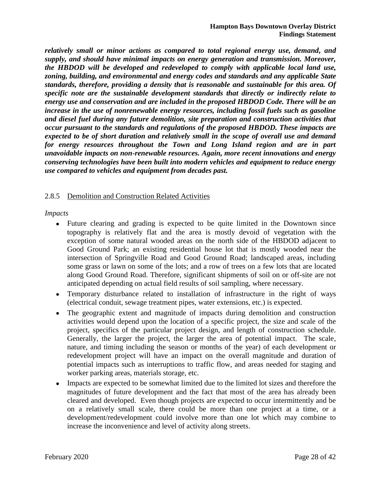*relatively small or minor actions as compared to total regional energy use, demand, and supply, and should have minimal impacts on energy generation and transmission. Moreover, the HBDOD will be developed and redeveloped to comply with applicable local land use, zoning, building, and environmental and energy codes and standards and any applicable State standards, therefore, providing a density that is reasonable and sustainable for this area. Of specific note are the sustainable development standards that directly or indirectly relate to energy use and conservation and are included in the proposed HBDOD Code. There will be an increase in the use of nonrenewable energy resources, including fossil fuels such as gasoline and diesel fuel during any future demolition, site preparation and construction activities that occur pursuant to the standards and regulations of the proposed HBDOD. These impacts are expected to be of short duration and relatively small in the scope of overall use and demand for energy resources throughout the Town and Long Island region and are in part unavoidable impacts on non-renewable resources. Again, more recent innovations and energy conserving technologies have been built into modern vehicles and equipment to reduce energy use compared to vehicles and equipment from decades past.*

# 2.8.5 Demolition and Construction Related Activities

*Impacts*

- Future clearing and grading is expected to be quite limited in the Downtown since topography is relatively flat and the area is mostly devoid of vegetation with the exception of some natural wooded areas on the north side of the HBDOD adjacent to Good Ground Park; an existing residential house lot that is mostly wooded near the intersection of Springville Road and Good Ground Road; landscaped areas, including some grass or lawn on some of the lots; and a row of trees on a few lots that are located along Good Ground Road. Therefore, significant shipments of soil on or off-site are not anticipated depending on actual field results of soil sampling, where necessary.
- Temporary disturbance related to installation of infrastructure in the right of ways (electrical conduit, sewage treatment pipes, water extensions, etc.) is expected.
- The geographic extent and magnitude of impacts during demolition and construction activities would depend upon the location of a specific project, the size and scale of the project, specifics of the particular project design, and length of construction schedule. Generally, the larger the project, the larger the area of potential impact. The scale, nature, and timing including the season or months of the year) of each development or redevelopment project will have an impact on the overall magnitude and duration of potential impacts such as interruptions to traffic flow, and areas needed for staging and worker parking areas, materials storage, etc.
- Impacts are expected to be somewhat limited due to the limited lot sizes and therefore the magnitudes of future development and the fact that most of the area has already been cleared and developed. Even though projects are expected to occur intermittently and be on a relatively small scale, there could be more than one project at a time, or a development/redevelopment could involve more than one lot which may combine to increase the inconvenience and level of activity along streets.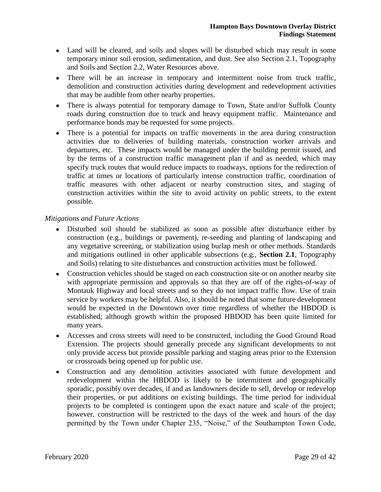- Land will be cleared, and soils and slopes will be disturbed which may result in some temporary minor soil erosion, sedimentation, and dust. See also Section 2.1, Topography and Soils and Section 2.2, Water Resources above.
- There will be an increase in temporary and intermittent noise from truck traffic, demolition and construction activities during development and redevelopment activities that may be audible from other nearby properties.
- There is always potential for temporary damage to Town, State and/or Suffolk County roads during construction due to truck and heavy equipment traffic. Maintenance and performance bonds may be requested for some projects.
- There is a potential for impacts on traffic movements in the area during construction activities due to deliveries of building materials, construction worker arrivals and departures, etc. These impacts would be managed under the building permit issued, and by the terms of a construction traffic management plan if and as needed, which may specify truck routes that would reduce impacts to roadways, options for the redirection of traffic at times or locations of particularly intense construction traffic, coordination of traffic measures with other adjacent or nearby construction sites, and staging of construction activities within the site to avoid activity on public streets, to the extent possible.

# *Mitigations and Future Actions*

- Disturbed soil should be stabilized as soon as possible after disturbance either by construction (e.g., buildings or pavement), re-seeding and planting of landscaping and any vegetative screening, or stabilization using burlap mesh or other methods. Standards and mitigations outlined in other applicable subsections (e.g., **Section 2.1**, Topography and Soils) relating to site disturbances and construction activities must be followed.
- Construction vehicles should be staged on each construction site or on another nearby site with appropriate permission and approvals so that they are off of the rights-of-way of Montauk Highway and local streets and so they do not impact traffic flow. Use of train service by workers may be helpful. Also, it should be noted that some future development would be expected in the Downtown over time regardless of whether the HBDOD is established; although growth within the proposed HBDOD has been quite limited for many years.
- Accesses and cross streets will need to be constructed, including the Good Ground Road Extension. The projects should generally precede any significant developments to not only provide access but provide possible parking and staging areas prior to the Extension or crossroads being opened up for public use.
- Construction and any demolition activities associated with future development and redevelopment within the HBDOD is likely to be intermittent and geographically sporadic, possibly over decades, if and as landowners decide to sell, develop or redevelop their properties, or put additions on existing buildings. The time period for individual projects to be completed is contingent upon the exact nature and scale of the project; however, construction will be restricted to the days of the week and hours of the day permitted by the Town under Chapter 235, "Noise," of the Southampton Town Code,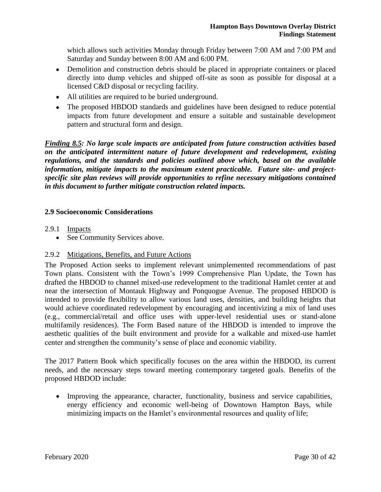which allows such activities Monday through Friday between 7:00 AM and 7:00 PM and Saturday and Sunday between 8:00 AM and 6:00 PM.

- Demolition and construction debris should be placed in appropriate containers or placed directly into dump vehicles and shipped off-site as soon as possible for disposal at a licensed C&D disposal or recycling facility.
- All utilities are required to be buried underground.
- The proposed HBDOD standards and guidelines have been designed to reduce potential impacts from future development and ensure a suitable and sustainable development pattern and structural form and design.

*Finding 8.5: No large scale impacts are anticipated from future construction activities based on the anticipated intermittent nature of future development and redevelopment, existing regulations, and the standards and policies outlined above which, based on the available information, mitigate impacts to the maximum extent practicable. Future site- and projectspecific site plan reviews will provide opportunities to refine necessary mitigations contained in this document to further mitigate construction related impacts.* 

# **2.9 Socioeconomic Considerations**

2.9.1 Impacts

• See Community Services above.

# 2.9.2 Mitigations, Benefits, and Future Actions

The Proposed Action seeks to implement relevant unimplemented recommendations of past Town plans. Consistent with the Town's 1999 Comprehensive Plan Update, the Town has drafted the HBDOD to channel mixed-use redevelopment to the traditional Hamlet center at and near the intersection of Montauk Highway and Ponquogue Avenue. The proposed HBDOD is intended to provide flexibility to allow various land uses, densities, and building heights that would achieve coordinated redevelopment by encouraging and incentivizing a mix of land uses (e.g., commercial/retail and office uses with upper-level residential uses or stand-alone multifamily residences). The Form Based nature of the HBDOD is intended to improve the aesthetic qualities of the built environment and provide for a walkable and mixed-use hamlet center and strengthen the community's sense of place and economic viability.

The 2017 Pattern Book which specifically focuses on the area within the HBDOD, its current needs, and the necessary steps toward meeting contemporary targeted goals. Benefits of the proposed HBDOD include:

 Improving the appearance, character, functionality, business and service capabilities, energy efficiency and economic well-being of Downtown Hampton Bays, while minimizing impacts on the Hamlet's environmental resources and quality of life;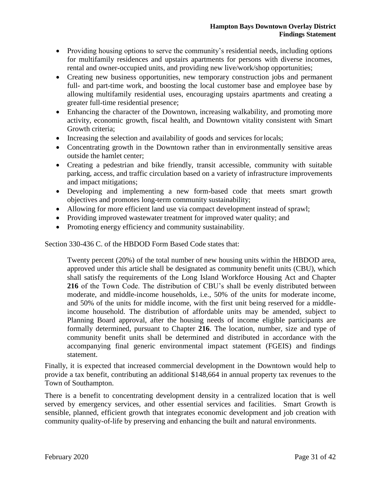- Providing housing options to serve the community's residential needs, including options for multifamily residences and upstairs apartments for persons with diverse incomes, rental and owner-occupied units, and providing new live/work/shop opportunities;
- Creating new business opportunities, new temporary construction jobs and permanent full- and part-time work, and boosting the local customer base and employee base by allowing multifamily residential uses, encouraging upstairs apartments and creating a greater full-time residential presence;
- Enhancing the character of the Downtown, increasing walkability, and promoting more activity, economic growth, fiscal health, and Downtown vitality consistent with Smart Growth criteria;
- Increasing the selection and availability of goods and services for locals;
- Concentrating growth in the Downtown rather than in environmentally sensitive areas outside the hamlet center;
- Creating a pedestrian and bike friendly, transit accessible, community with suitable parking, access, and traffic circulation based on a variety of infrastructure improvements and impact mitigations;
- Developing and implementing a new form-based code that meets smart growth objectives and promotes long-term community sustainability;
- Allowing for more efficient land use via compact development instead of sprawl;
- Providing improved wastewater treatment for improved water quality; and
- Promoting energy efficiency and community sustainability.

Section 330-436 C. of the HBDOD Form Based Code states that:

Twenty percent (20%) of the total number of new housing units within the HBDOD area, approved under this article shall be designated as community benefit units (CBU), which shall satisfy the requirements of the Long Island Workforce Housing Act and Chapter **216** of the Town Code. The distribution of CBU's shall be evenly distributed between moderate, and middle-income households, i.e., 50% of the units for moderate income, and 50% of the units for middle income, with the first unit being reserved for a middleincome household. The distribution of affordable units may be amended, subject to Planning Board approval, after the housing needs of income eligible participants are formally determined, pursuant to Chapter **216**. The location, number, size and type of community benefit units shall be determined and distributed in accordance with the accompanying final generic environmental impact statement (FGEIS) and findings statement.

Finally, it is expected that increased commercial development in the Downtown would help to provide a tax benefit, contributing an additional \$148,664 in annual property tax revenues to the Town of Southampton.

There is a benefit to concentrating development density in a centralized location that is well served by emergency services, and other essential services and facilities. Smart Growth is sensible, planned, efficient growth that integrates economic development and job creation with community quality-of-life by preserving and enhancing the built and natural environments.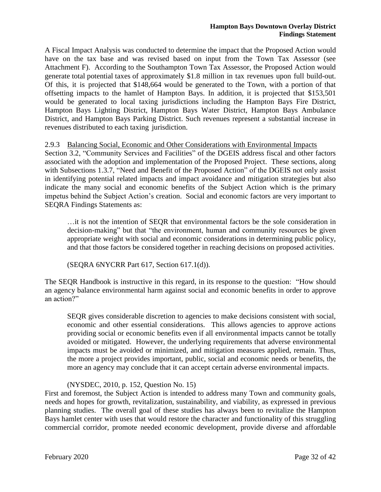A Fiscal Impact Analysis was conducted to determine the impact that the Proposed Action would have on the tax base and was revised based on input from the Town Tax Assessor (see Attachment F). According to the Southampton Town Tax Assessor, the Proposed Action would generate total potential taxes of approximately \$1.8 million in tax revenues upon full build-out. Of this, it is projected that \$148,664 would be generated to the Town, with a portion of that offsetting impacts to the hamlet of Hampton Bays. In addition, it is projected that \$153,501 would be generated to local taxing jurisdictions including the Hampton Bays Fire District, Hampton Bays Lighting District, Hampton Bays Water District, Hampton Bays Ambulance District, and Hampton Bays Parking District. Such revenues represent a substantial increase in revenues distributed to each taxing jurisdiction.

# 2.9.3 Balancing Social, Economic and Other Considerations with Environmental Impacts

Section 3.2, "Community Services and Facilities" of the DGEIS address fiscal and other factors associated with the adoption and implementation of the Proposed Project. These sections, along with Subsections 1.3.7, "Need and Benefit of the Proposed Action" of the DGEIS not only assist in identifying potential related impacts and impact avoidance and mitigation strategies but also indicate the many social and economic benefits of the Subject Action which is the primary impetus behind the Subject Action's creation. Social and economic factors are very important to SEQRA Findings Statements as:

…it is not the intention of SEQR that environmental factors be the sole consideration in decision-making" but that "the environment, human and community resources be given appropriate weight with social and economic considerations in determining public policy, and that those factors be considered together in reaching decisions on proposed activities.

(SEQRA 6NYCRR Part 617, Section 617.1(d)).

The SEQR Handbook is instructive in this regard, in its response to the question: "How should an agency balance environmental harm against social and economic benefits in order to approve an action?"

SEQR gives considerable discretion to agencies to make decisions consistent with social, economic and other essential considerations. This allows agencies to approve actions providing social or economic benefits even if all environmental impacts cannot be totally avoided or mitigated. However, the underlying requirements that adverse environmental impacts must be avoided or minimized, and mitigation measures applied, remain. Thus, the more a project provides important, public, social and economic needs or benefits, the more an agency may conclude that it can accept certain adverse environmental impacts.

# (NYSDEC, 2010, p. 152, Question No. 15)

First and foremost, the Subject Action is intended to address many Town and community goals, needs and hopes for growth, revitalization, sustainability, and viability, as expressed in previous planning studies. The overall goal of these studies has always been to revitalize the Hampton Bays hamlet center with uses that would restore the character and functionality of this struggling commercial corridor, promote needed economic development, provide diverse and affordable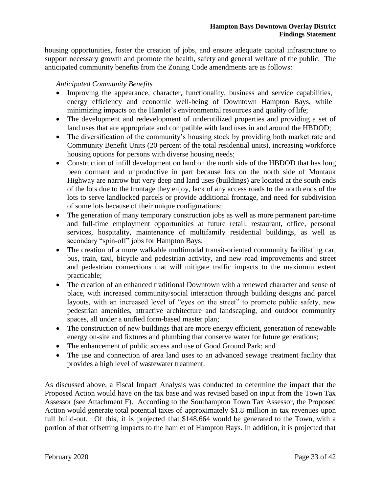housing opportunities, foster the creation of jobs, and ensure adequate capital infrastructure to support necessary growth and promote the health, safety and general welfare of the public. The anticipated community benefits from the Zoning Code amendments are as follows:

# *Anticipated Community Benefits*

- Improving the appearance, character, functionality, business and service capabilities, energy efficiency and economic well-being of Downtown Hampton Bays, while minimizing impacts on the Hamlet's environmental resources and quality of life;
- The development and redevelopment of underutilized properties and providing a set of land uses that are appropriate and compatible with land uses in and around the HBDOD;
- The diversification of the community's housing stock by providing both market rate and Community Benefit Units (20 percent of the total residential units), increasing workforce housing options for persons with diverse housing needs;
- Construction of infill development on land on the north side of the HBDOD that has long been dormant and unproductive in part because lots on the north side of Montauk Highway are narrow but very deep and land uses (buildings) are located at the south ends of the lots due to the frontage they enjoy, lack of any access roads to the north ends of the lots to serve landlocked parcels or provide additional frontage, and need for subdivision of some lots because of their unique configurations;
- The generation of many temporary construction jobs as well as more permanent part-time and full-time employment opportunities at future retail, restaurant, office, personal services, hospitality, maintenance of multifamily residential buildings, as well as secondary "spin-off" jobs for Hampton Bays;
- The creation of a more walkable multimodal transit-oriented community facilitating car, bus, train, taxi, bicycle and pedestrian activity, and new road improvements and street and pedestrian connections that will mitigate traffic impacts to the maximum extent practicable;
- The creation of an enhanced traditional Downtown with a renewed character and sense of place, with increased community/social interaction through building designs and parcel layouts, with an increased level of "eyes on the street" to promote public safety, new pedestrian amenities, attractive architecture and landscaping, and outdoor community spaces, all under a unified form-based master plan;
- The construction of new buildings that are more energy efficient, generation of renewable energy on-site and fixtures and plumbing that conserve water for future generations;
- The enhancement of public access and use of Good Ground Park; and
- The use and connection of area land uses to an advanced sewage treatment facility that provides a high level of wastewater treatment.

As discussed above, a Fiscal Impact Analysis was conducted to determine the impact that the Proposed Action would have on the tax base and was revised based on input from the Town Tax Assessor (see Attachment F). According to the Southampton Town Tax Assessor, the Proposed Action would generate total potential taxes of approximately \$1.8 million in tax revenues upon full build-out. Of this, it is projected that \$148,664 would be generated to the Town, with a portion of that offsetting impacts to the hamlet of Hampton Bays. In addition, it is projected that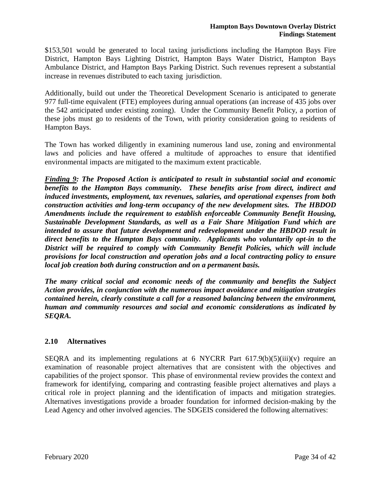\$153,501 would be generated to local taxing jurisdictions including the Hampton Bays Fire District, Hampton Bays Lighting District, Hampton Bays Water District, Hampton Bays Ambulance District, and Hampton Bays Parking District. Such revenues represent a substantial increase in revenues distributed to each taxing jurisdiction.

Additionally, build out under the Theoretical Development Scenario is anticipated to generate 977 full-time equivalent (FTE) employees during annual operations (an increase of 435 jobs over the 542 anticipated under existing zoning). Under the Community Benefit Policy, a portion of these jobs must go to residents of the Town, with priority consideration going to residents of Hampton Bays.

The Town has worked diligently in examining numerous land use, zoning and environmental laws and policies and have offered a multitude of approaches to ensure that identified environmental impacts are mitigated to the maximum extent practicable.

*Finding 9: The Proposed Action is anticipated to result in substantial social and economic benefits to the Hampton Bays community. These benefits arise from direct, indirect and induced investments, employment, tax revenues, salaries, and operational expenses from both construction activities and long-term occupancy of the new development sites. The HBDOD Amendments include the requirement to establish enforceable Community Benefit Housing, Sustainable Development Standards, as well as a Fair Share Mitigation Fund which are intended to assure that future development and redevelopment under the HBDOD result in direct benefits to the Hampton Bays community. Applicants who voluntarily opt-in to the District will be required to comply with Community Benefit Policies, which will include provisions for local construction and operation jobs and a local contracting policy to ensure local job creation both during construction and on a permanent basis.* 

*The many critical social and economic needs of the community and benefits the Subject Action provides, in conjunction with the numerous impact avoidance and mitigation strategies contained herein, clearly constitute a call for a reasoned balancing between the environment, human and community resources and social and economic considerations as indicated by SEQRA.* 

# **2.10 Alternatives**

SEQRA and its implementing regulations at 6 NYCRR Part  $617.9(b)(5)(iii)(v)$  require an examination of reasonable project alternatives that are consistent with the objectives and capabilities of the project sponsor. This phase of environmental review provides the context and framework for identifying, comparing and contrasting feasible project alternatives and plays a critical role in project planning and the identification of impacts and mitigation strategies. Alternatives investigations provide a broader foundation for informed decision-making by the Lead Agency and other involved agencies. The SDGEIS considered the following alternatives: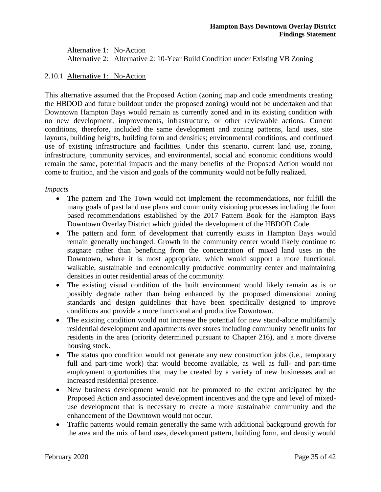Alternative 1: No-Action Alternative 2: Alternative 2: 10-Year Build Condition under Existing VB Zoning

# 2.10.1 Alternative 1: No-Action

This alternative assumed that the Proposed Action (zoning map and code amendments creating the HBDOD and future buildout under the proposed zoning) would not be undertaken and that Downtown Hampton Bays would remain as currently zoned and in its existing condition with no new development, improvements, infrastructure, or other reviewable actions. Current conditions, therefore, included the same development and zoning patterns, land uses, site layouts, building heights, building form and densities; environmental conditions, and continued use of existing infrastructure and facilities. Under this scenario, current land use, zoning, infrastructure, community services, and environmental, social and economic conditions would remain the same, potential impacts and the many benefits of the Proposed Action would not come to fruition, and the vision and goals of the community would not be fully realized.

#### *Impacts*

- The pattern and The Town would not implement the recommendations, nor fulfill the many goals of past land use plans and community visioning processes including the form based recommendations established by the 2017 Pattern Book for the Hampton Bays Downtown Overlay District which guided the development of the HBDOD Code.
- The pattern and form of development that currently exists in Hampton Bays would remain generally unchanged. Growth in the community center would likely continue to stagnate rather than benefiting from the concentration of mixed land uses in the Downtown, where it is most appropriate, which would support a more functional, walkable, sustainable and economically productive community center and maintaining densities in outer residential areas of the community.
- The existing visual condition of the built environment would likely remain as is or possibly degrade rather than being enhanced by the proposed dimensional zoning standards and design guidelines that have been specifically designed to improve conditions and provide a more functional and productive Downtown.
- The existing condition would not increase the potential for new stand-alone multifamily residential development and apartments over stores including community benefit units for residents in the area (priority determined pursuant to Chapter 216), and a more diverse housing stock.
- The status quo condition would not generate any new construction jobs (i.e., temporary full and part-time work) that would become available, as well as full- and part-time employment opportunities that may be created by a variety of new businesses and an increased residential presence.
- New business development would not be promoted to the extent anticipated by the Proposed Action and associated development incentives and the type and level of mixeduse development that is necessary to create a more sustainable community and the enhancement of the Downtown would not occur.
- Traffic patterns would remain generally the same with additional background growth for the area and the mix of land uses, development pattern, building form, and density would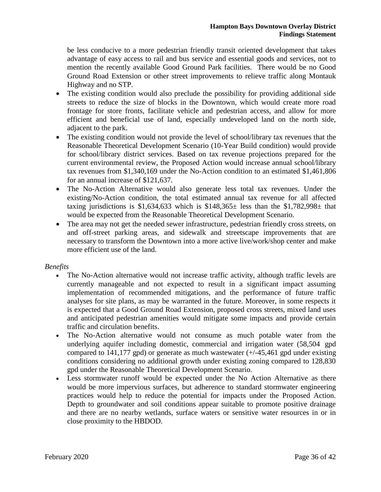be less conducive to a more pedestrian friendly transit oriented development that takes advantage of easy access to rail and bus service and essential goods and services, not to mention the recently available Good Ground Park facilities. There would be no Good Ground Road Extension or other street improvements to relieve traffic along Montauk Highway and no STP.

- The existing condition would also preclude the possibility for providing additional side streets to reduce the size of blocks in the Downtown, which would create more road frontage for store fronts, facilitate vehicle and pedestrian access, and allow for more efficient and beneficial use of land, especially undeveloped land on the north side, adjacent to the park.
- The existing condition would not provide the level of school/library tax revenues that the Reasonable Theoretical Development Scenario (10-Year Build condition) would provide for school/library district services. Based on tax revenue projections prepared for the current environmental review, the Proposed Action would increase annual school/library tax revenues from \$1,340,169 under the No-Action condition to an estimated \$1,461,806 for an annual increase of \$121,637.
- The No-Action Alternative would also generate less total tax revenues. Under the existing/No-Action condition, the total estimated annual tax revenue for all affected taxing jurisdictions is \$1,634,633 which is  $$148,365\pm$  less than the \$1,782,998 $\pm$  that would be expected from the Reasonable Theoretical Development Scenario.
- The area may not get the needed sewer infrastructure, pedestrian friendly cross streets, on and off-street parking areas, and sidewalk and streetscape improvements that are necessary to transform the Downtown into a more active live/work/shop center and make more efficient use of the land.

# *Benefits*

- The No-Action alternative would not increase traffic activity, although traffic levels are currently manageable and not expected to result in a significant impact assuming implementation of recommended mitigations, and the performance of future traffic analyses for site plans, as may be warranted in the future. Moreover, in some respects it is expected that a Good Ground Road Extension, proposed cross streets, mixed land uses and anticipated pedestrian amenities would mitigate some impacts and provide certain traffic and circulation benefits.
- The No-Action alternative would not consume as much potable water from the underlying aquifer including domestic, commercial and irrigation water (58,504 gpd compared to 141,177 gpd) or generate as much wastewater  $(+/-45,461$  gpd under existing conditions considering no additional growth under existing zoning compared to 128,830 gpd under the Reasonable Theoretical Development Scenario.
- Less stormwater runoff would be expected under the No Action Alternative as there would be more impervious surfaces, but adherence to standard stormwater engineering practices would help to reduce the potential for impacts under the Proposed Action. Depth to groundwater and soil conditions appear suitable to promote positive drainage and there are no nearby wetlands, surface waters or sensitive water resources in or in close proximity to the HBDOD.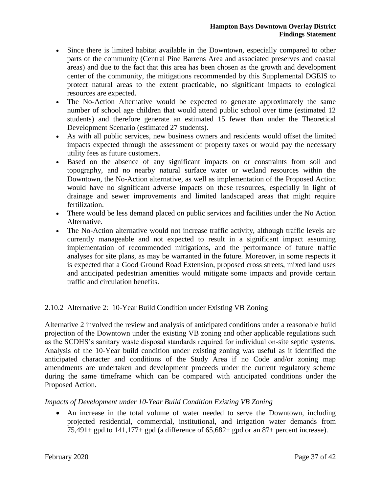- Since there is limited habitat available in the Downtown, especially compared to other parts of the community (Central Pine Barrens Area and associated preserves and coastal areas) and due to the fact that this area has been chosen as the growth and development center of the community, the mitigations recommended by this Supplemental DGEIS to protect natural areas to the extent practicable, no significant impacts to ecological resources are expected.
- The No-Action Alternative would be expected to generate approximately the same number of school age children that would attend public school over time (estimated 12 students) and therefore generate an estimated 15 fewer than under the Theoretical Development Scenario (estimated 27 students).
- As with all public services, new business owners and residents would offset the limited impacts expected through the assessment of property taxes or would pay the necessary utility fees as future customers.
- Based on the absence of any significant impacts on or constraints from soil and topography, and no nearby natural surface water or wetland resources within the Downtown, the No-Action alternative, as well as implementation of the Proposed Action would have no significant adverse impacts on these resources, especially in light of drainage and sewer improvements and limited landscaped areas that might require fertilization.
- There would be less demand placed on public services and facilities under the No Action Alternative.
- The No-Action alternative would not increase traffic activity, although traffic levels are currently manageable and not expected to result in a significant impact assuming implementation of recommended mitigations, and the performance of future traffic analyses for site plans, as may be warranted in the future. Moreover, in some respects it is expected that a Good Ground Road Extension, proposed cross streets, mixed land uses and anticipated pedestrian amenities would mitigate some impacts and provide certain traffic and circulation benefits.

# 2.10.2 Alternative 2: 10-Year Build Condition under Existing VB Zoning

Alternative 2 involved the review and analysis of anticipated conditions under a reasonable build projection of the Downtown under the existing VB zoning and other applicable regulations such as the SCDHS's sanitary waste disposal standards required for individual on-site septic systems. Analysis of the 10-Year build condition under existing zoning was useful as it identified the anticipated character and conditions of the Study Area if no Code and/or zoning map amendments are undertaken and development proceeds under the current regulatory scheme during the same timeframe which can be compared with anticipated conditions under the Proposed Action.

# *Impacts of Development under 10-Year Build Condition Existing VB Zoning*

 An increase in the total volume of water needed to serve the Downtown, including projected residential, commercial, institutional, and irrigation water demands from 75,491 $\pm$  gpd to 141,177 $\pm$  gpd (a difference of 65,682 $\pm$  gpd or an 87 $\pm$  percent increase).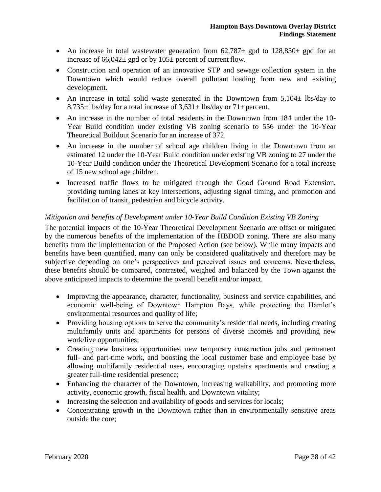- An increase in total wastewater generation from  $62,787\pm$  gpd to  $128,830\pm$  gpd for an increase of  $66,042 \pm$  gpd or by  $105 \pm$  percent of current flow.
- Construction and operation of an innovative STP and sewage collection system in the Downtown which would reduce overall pollutant loading from new and existing development.
- An increase in total solid waste generated in the Downtown from 5,104 $\pm$  lbs/day to  $8,735\pm$  lbs/day for a total increase of  $3,631\pm$  lbs/day or  $71\pm$  percent.
- An increase in the number of total residents in the Downtown from 184 under the 10- Year Build condition under existing VB zoning scenario to 556 under the 10-Year Theoretical Buildout Scenario for an increase of 372.
- An increase in the number of school age children living in the Downtown from an estimated 12 under the 10-Year Build condition under existing VB zoning to 27 under the 10-Year Build condition under the Theoretical Development Scenario for a total increase of 15 new school age children.
- Increased traffic flows to be mitigated through the Good Ground Road Extension, providing turning lanes at key intersections, adjusting signal timing, and promotion and facilitation of transit, pedestrian and bicycle activity.

# *Mitigation and benefits of Development under 10-Year Build Condition Existing VB Zoning*

The potential impacts of the 10-Year Theoretical Development Scenario are offset or mitigated by the numerous benefits of the implementation of the HBDOD zoning. There are also many benefits from the implementation of the Proposed Action (see below). While many impacts and benefits have been quantified, many can only be considered qualitatively and therefore may be subjective depending on one's perspectives and perceived issues and concerns. Nevertheless, these benefits should be compared, contrasted, weighed and balanced by the Town against the above anticipated impacts to determine the overall benefit and/or impact.

- Improving the appearance, character, functionality, business and service capabilities, and economic well-being of Downtown Hampton Bays, while protecting the Hamlet's environmental resources and quality of life;
- Providing housing options to serve the community's residential needs, including creating multifamily units and apartments for persons of diverse incomes and providing new work/live opportunities;
- Creating new business opportunities, new temporary construction jobs and permanent full- and part-time work, and boosting the local customer base and employee base by allowing multifamily residential uses, encouraging upstairs apartments and creating a greater full-time residential presence;
- Enhancing the character of the Downtown, increasing walkability, and promoting more activity, economic growth, fiscal health, and Downtown vitality;
- Increasing the selection and availability of goods and services for locals;
- Concentrating growth in the Downtown rather than in environmentally sensitive areas outside the core;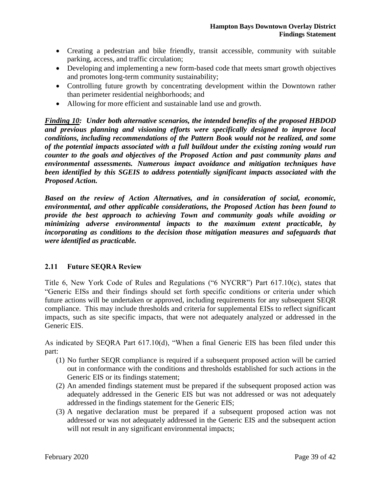- Creating a pedestrian and bike friendly, transit accessible, community with suitable parking, access, and traffic circulation;
- Developing and implementing a new form-based code that meets smart growth objectives and promotes long-term community sustainability;
- Controlling future growth by concentrating development within the Downtown rather than perimeter residential neighborhoods; and
- Allowing for more efficient and sustainable land use and growth.

*Finding 10: Under both alternative scenarios, the intended benefits of the proposed HBDOD and previous planning and visioning efforts were specifically designed to improve local conditions, including recommendations of the Pattern Book would not be realized, and some of the potential impacts associated with a full buildout under the existing zoning would run counter to the goals and objectives of the Proposed Action and past community plans and environmental assessments. Numerous impact avoidance and mitigation techniques have been identified by this SGEIS to address potentially significant impacts associated with the Proposed Action.*

*Based on the review of Action Alternatives, and in consideration of social, economic, environmental, and other applicable considerations, the Proposed Action has been found to provide the best approach to achieving Town and community goals while avoiding or minimizing adverse environmental impacts to the maximum extent practicable, by incorporating as conditions to the decision those mitigation measures and safeguards that were identified as practicable.*

# **2.11 Future SEQRA Review**

Title 6, New York Code of Rules and Regulations ("6 NYCRR") Part 617.10(c), states that "Generic EISs and their findings should set forth specific conditions or criteria under which future actions will be undertaken or approved, including requirements for any subsequent SEQR compliance. This may include thresholds and criteria for supplemental EISs to reflect significant impacts, such as site specific impacts, that were not adequately analyzed or addressed in the Generic EIS.

As indicated by SEQRA Part 617.10(d), "When a final Generic EIS has been filed under this part:

- (1) No further SEQR compliance is required if a subsequent proposed action will be carried out in conformance with the conditions and thresholds established for such actions in the Generic EIS or its findings statement;
- (2) An amended findings statement must be prepared if the subsequent proposed action was adequately addressed in the Generic EIS but was not addressed or was not adequately addressed in the findings statement for the Generic EIS;
- (3) A negative declaration must be prepared if a subsequent proposed action was not addressed or was not adequately addressed in the Generic EIS and the subsequent action will not result in any significant environmental impacts;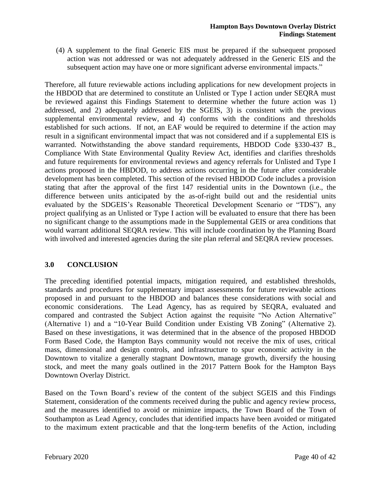(4) A supplement to the final Generic EIS must be prepared if the subsequent proposed action was not addressed or was not adequately addressed in the Generic EIS and the subsequent action may have one or more significant adverse environmental impacts."

Therefore, all future reviewable actions including applications for new development projects in the HBDOD that are determined to constitute an Unlisted or Type I action under SEQRA must be reviewed against this Findings Statement to determine whether the future action was 1) addressed, and 2) adequately addressed by the SGEIS, 3) is consistent with the previous supplemental environmental review, and 4) conforms with the conditions and thresholds established for such actions. If not, an EAF would be required to determine if the action may result in a significant environmental impact that was not considered and if a supplemental EIS is warranted. Notwithstanding the above standard requirements, HBDOD Code §330-437 B., Compliance With State Environmental Quality Review Act, identifies and clarifies thresholds and future requirements for environmental reviews and agency referrals for Unlisted and Type I actions proposed in the HBDOD, to address actions occurring in the future after considerable development has been completed. This section of the revised HBDOD Code includes a provision stating that after the approval of the first 147 residential units in the Downtown (i.e., the difference between units anticipated by the as-of-right build out and the residential units evaluated by the SDGEIS's Reasonable Theoretical Development Scenario or "TDS"), any project qualifying as an Unlisted or Type I action will be evaluated to ensure that there has been no significant change to the assumptions made in the Supplemental GEIS or area conditions that would warrant additional SEQRA review. This will include coordination by the Planning Board with involved and interested agencies during the site plan referral and SEQRA review processes.

# **3.0 CONCLUSION**

The preceding identified potential impacts, mitigation required, and established thresholds, standards and procedures for supplementary impact assessments for future reviewable actions proposed in and pursuant to the HBDOD and balances these considerations with social and economic considerations. The Lead Agency, has as required by SEQRA, evaluated and compared and contrasted the Subject Action against the requisite "No Action Alternative" (Alternative 1) and a "10-Year Build Condition under Existing VB Zoning" (Alternative 2). Based on these investigations, it was determined that in the absence of the proposed HBDOD Form Based Code, the Hampton Bays community would not receive the mix of uses, critical mass, dimensional and design controls, and infrastructure to spur economic activity in the Downtown to vitalize a generally stagnant Downtown, manage growth, diversify the housing stock, and meet the many goals outlined in the 2017 Pattern Book for the Hampton Bays Downtown Overlay District.

Based on the Town Board's review of the content of the subject SGEIS and this Findings Statement, consideration of the comments received during the public and agency review process, and the measures identified to avoid or minimize impacts, the Town Board of the Town of Southampton as Lead Agency, concludes that identified impacts have been avoided or mitigated to the maximum extent practicable and that the long‐term benefits of the Action, including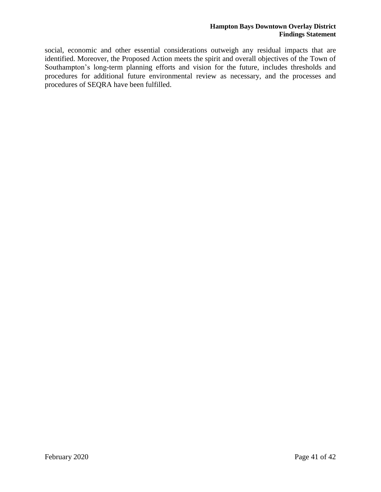social, economic and other essential considerations outweigh any residual impacts that are identified. Moreover, the Proposed Action meets the spirit and overall objectives of the Town of Southampton's long-term planning efforts and vision for the future, includes thresholds and procedures for additional future environmental review as necessary, and the processes and procedures of SEQRA have been fulfilled.